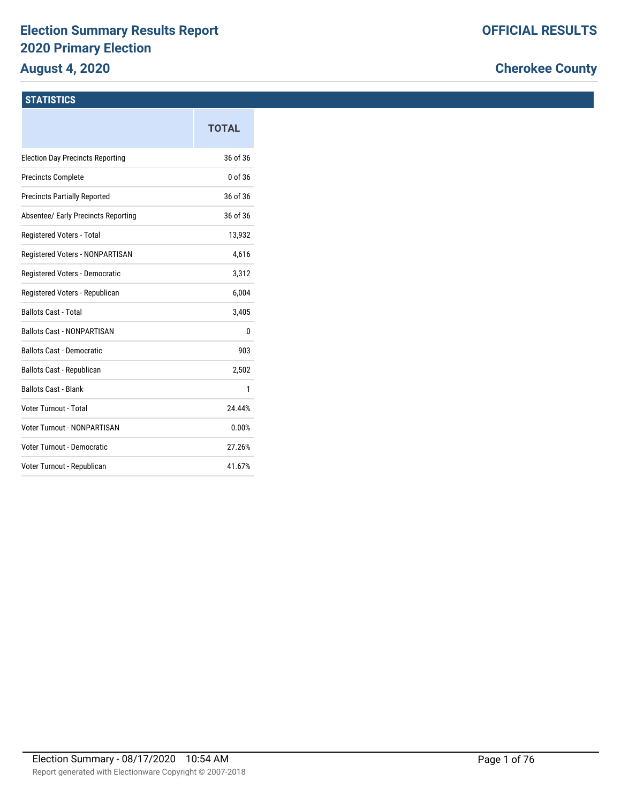# **Election Summary Results Report 2020 Primary Election**

# **August 4, 2020**

# **Cherokee County**

## **STATISTICS**

|                                         | <b>TOTAL</b> |
|-----------------------------------------|--------------|
| <b>Election Day Precincts Reporting</b> | 36 of 36     |
| <b>Precincts Complete</b>               | 0 of 36      |
| <b>Precincts Partially Reported</b>     | 36 of 36     |
| Absentee/ Early Precincts Reporting     | 36 of 36     |
| Registered Voters - Total               | 13,932       |
| Registered Voters - NONPARTISAN         | 4,616        |
| Registered Voters - Democratic          | 3,312        |
| Registered Voters - Republican          | 6,004        |
| <b>Ballots Cast - Total</b>             | 3,405        |
| <b>Ballots Cast - NONPARTISAN</b>       | 0            |
| <b>Ballots Cast - Democratic</b>        | 903          |
| <b>Ballots Cast - Republican</b>        | 2,502        |
| <b>Ballots Cast - Blank</b>             | 1            |
| Voter Turnout - Total                   | 24.44%       |
| Voter Turnout - NONPARTISAN             | 0.00%        |
| <b>Voter Turnout - Democratic</b>       | 27.26%       |
| Voter Turnout - Republican              | 41.67%       |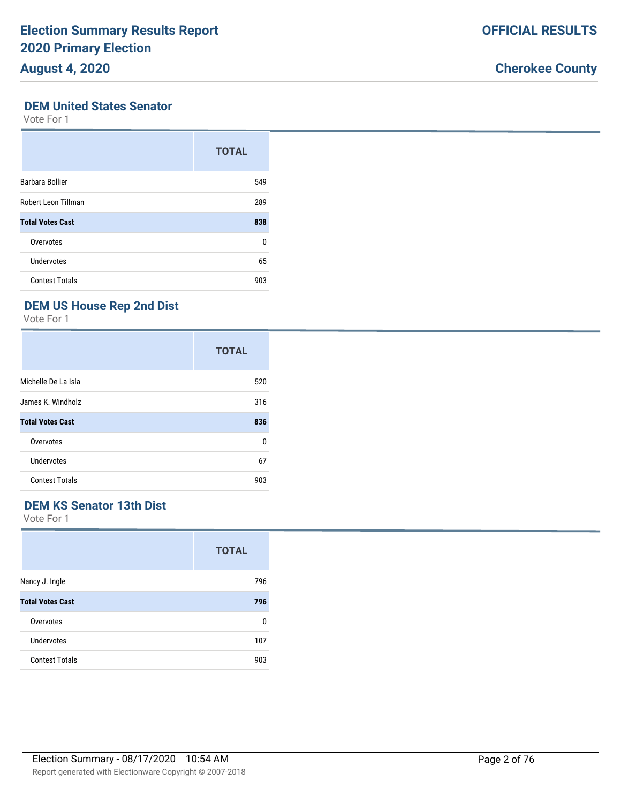# **Cherokee County**

## **DEM United States Senator**

Vote For 1

|                         | <b>TOTAL</b> |
|-------------------------|--------------|
| Barbara Bollier         | 549          |
| Robert Leon Tillman     | 289          |
| <b>Total Votes Cast</b> | 838          |
| Overvotes               | 0            |
| Undervotes              | 65           |
| <b>Contest Totals</b>   | 903          |

# **DEM US House Rep 2nd Dist**

Vote For 1

|                         | <b>TOTAL</b> |
|-------------------------|--------------|
| Michelle De La Isla     | 520          |
| James K. Windholz       | 316          |
| <b>Total Votes Cast</b> | 836          |
| Overvotes               | 0            |
| Undervotes              | 67           |
| <b>Contest Totals</b>   | 903          |

## **DEM KS Senator 13th Dist**

|                         | <b>TOTAL</b> |
|-------------------------|--------------|
| Nancy J. Ingle          | 796          |
| <b>Total Votes Cast</b> | 796          |
| Overvotes               | 0            |
| Undervotes              | 107          |
| <b>Contest Totals</b>   | 903          |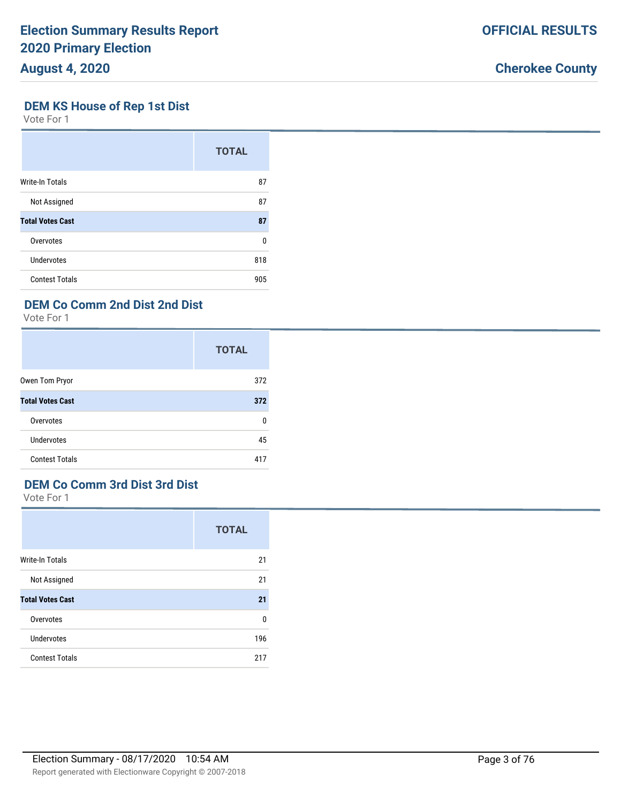# **DEM KS House of Rep 1st Dist**

Vote For 1

|                         | <b>TOTAL</b> |
|-------------------------|--------------|
| Write-In Totals         | 87           |
| Not Assigned            | 87           |
| <b>Total Votes Cast</b> | 87           |
| Overvotes               | 0            |
| Undervotes              | 818          |
| <b>Contest Totals</b>   | 905          |

# **DEM Co Comm 2nd Dist 2nd Dist**

Vote For 1

|                         | <b>TOTAL</b> |
|-------------------------|--------------|
| Owen Tom Pryor          | 372          |
| <b>Total Votes Cast</b> | 372          |
| Overvotes               | 0            |
| Undervotes              | 45           |
| <b>Contest Totals</b>   | 417          |

# **DEM Co Comm 3rd Dist 3rd Dist**

Vote For 1

|                         | <b>TOTAL</b> |
|-------------------------|--------------|
| Write-In Totals         | 21           |
| Not Assigned            | 21           |
| <b>Total Votes Cast</b> | 21           |
| Overvotes               | 0            |
| Undervotes              | 196          |
| <b>Contest Totals</b>   | 217          |

Report generated with Electionware Copyright © 2007-2018

# **Cherokee County**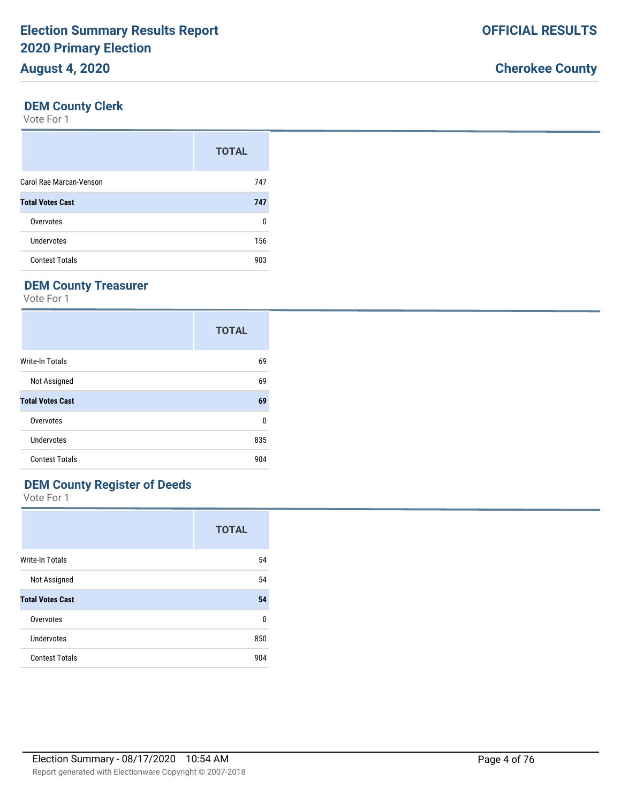## **DEM County Clerk**

Vote For 1

|                         | <b>TOTAL</b> |
|-------------------------|--------------|
| Carol Rae Marcan-Venson | 747          |
| <b>Total Votes Cast</b> | 747          |
| Overvotes               | 0            |
| <b>Undervotes</b>       | 156          |
| <b>Contest Totals</b>   | 903          |

# **DEM County Treasurer**

Vote For 1

|                         | <b>TOTAL</b> |
|-------------------------|--------------|
| <b>Write-In Totals</b>  | 69           |
| Not Assigned            | 69           |
| <b>Total Votes Cast</b> | 69           |
| Overvotes               | 0            |
| Undervotes              | 835          |
| <b>Contest Totals</b>   | 904          |

# **DEM County Register of Deeds**

|                         | <b>TOTAL</b> |
|-------------------------|--------------|
| Write-In Totals         | 54           |
| Not Assigned            | 54           |
| <b>Total Votes Cast</b> | 54           |
| Overvotes               | 0            |
| Undervotes              | 850          |
| <b>Contest Totals</b>   | 904          |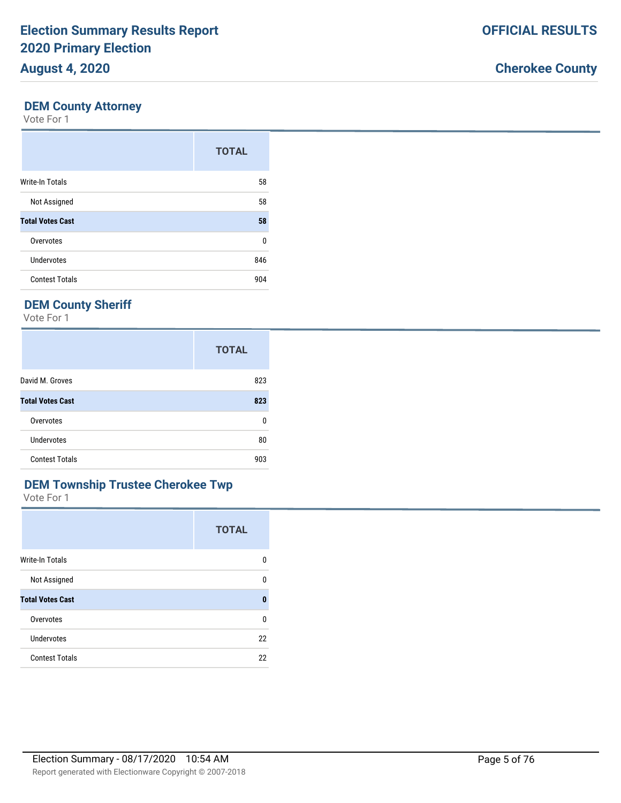# **DEM County Attorney**

Vote For 1

|                         | <b>TOTAL</b> |
|-------------------------|--------------|
| <b>Write-In Totals</b>  | 58           |
| Not Assigned            | 58           |
| <b>Total Votes Cast</b> | 58           |
| Overvotes               | $\Omega$     |
| Undervotes              | 846          |
| <b>Contest Totals</b>   | 904          |

# **DEM County Sheriff**

Vote For 1

|                         | <b>TOTAL</b> |
|-------------------------|--------------|
| David M. Groves         | 823          |
| <b>Total Votes Cast</b> | 823          |
| Overvotes               | 0            |
| Undervotes              | 80           |
| <b>Contest Totals</b>   | 903          |

# **DEM Township Trustee Cherokee Twp**

|                         | <b>TOTAL</b> |
|-------------------------|--------------|
| Write-In Totals         | 0            |
| Not Assigned            | 0            |
| <b>Total Votes Cast</b> | $\bf{0}$     |
| Overvotes               | $\Omega$     |
| Undervotes              | 22           |
| <b>Contest Totals</b>   | 22           |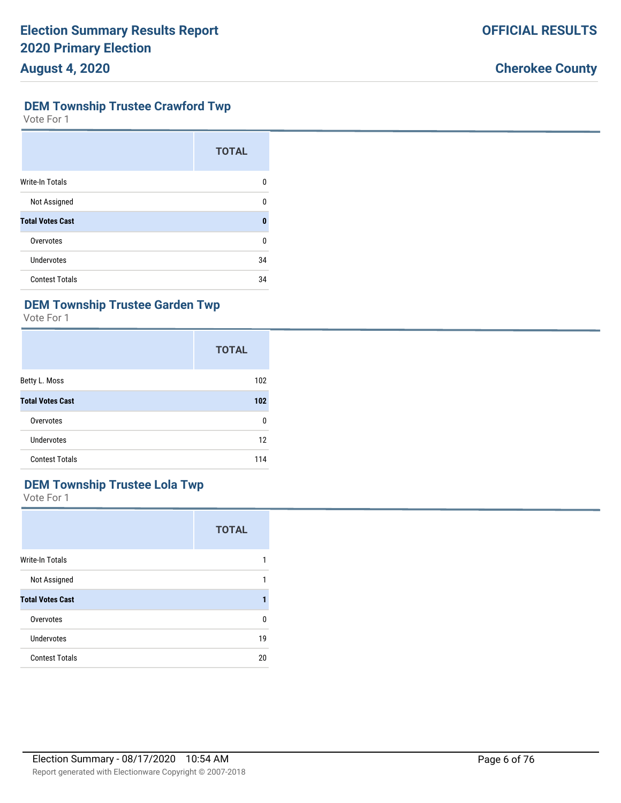# **DEM Township Trustee Crawford Twp**

Vote For 1

|                         | <b>TOTAL</b> |
|-------------------------|--------------|
| <b>Write-In Totals</b>  | O            |
| Not Assigned            | n            |
| <b>Total Votes Cast</b> | Π            |
| Overvotes               | ŋ            |
| Undervotes              | 34           |
| <b>Contest Totals</b>   | 34           |

# **DEM Township Trustee Garden Twp**

Vote For 1

|                         | <b>TOTAL</b> |
|-------------------------|--------------|
| Betty L. Moss           | 102          |
| <b>Total Votes Cast</b> | 102          |
| Overvotes               | 0            |
| Undervotes              | 12           |
| <b>Contest Totals</b>   | 114          |

# **DEM Township Trustee Lola Twp**

|                         | <b>TOTAL</b> |
|-------------------------|--------------|
| <b>Write-In Totals</b>  | 1            |
| Not Assigned            | 1            |
| <b>Total Votes Cast</b> |              |
| Overvotes               | 0            |
| <b>Undervotes</b>       | 19           |
| <b>Contest Totals</b>   | 20           |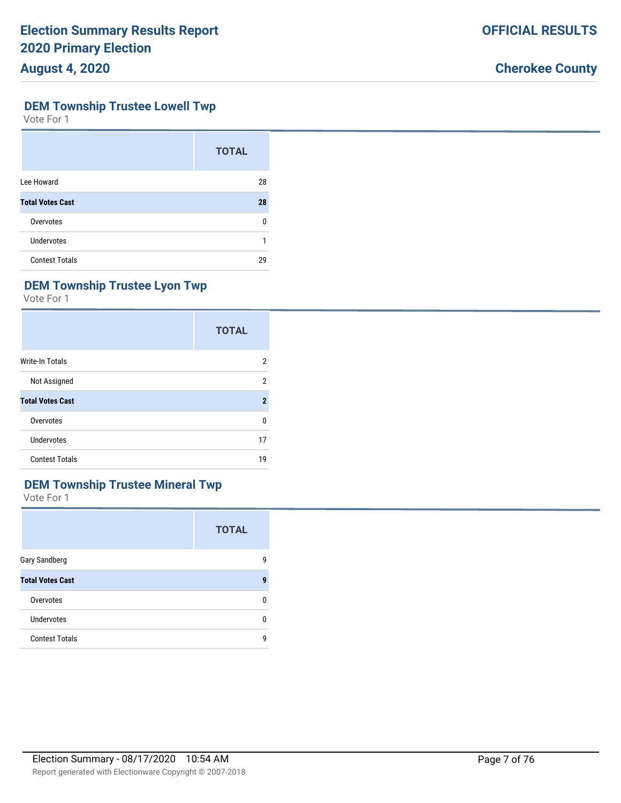**OFFICIAL RESULTS**

### **DEM Township Trustee Lowell Twp**

Vote For 1

|                         | <b>TOTAL</b> |
|-------------------------|--------------|
| Lee Howard              | 28           |
| <b>Total Votes Cast</b> | 28           |
| Overvotes               | n            |
| <b>Undervotes</b>       |              |
| <b>Contest Totals</b>   | 29           |

# **DEM Township Trustee Lyon Twp**

Vote For 1

|                         | <b>TOTAL</b> |
|-------------------------|--------------|
| <b>Write-In Totals</b>  | 2            |
| Not Assigned            | 2            |
| <b>Total Votes Cast</b> | $\mathbf 2$  |
| Overvotes               | 0            |
| Undervotes              | 17           |
| <b>Contest Totals</b>   | 19           |

# **DEM Township Trustee Mineral Twp**

|                         | <b>TOTAL</b> |
|-------------------------|--------------|
| Gary Sandberg           | g            |
| <b>Total Votes Cast</b> | 9            |
| Overvotes               |              |
| <b>Undervotes</b>       | п            |
| <b>Contest Totals</b>   | g            |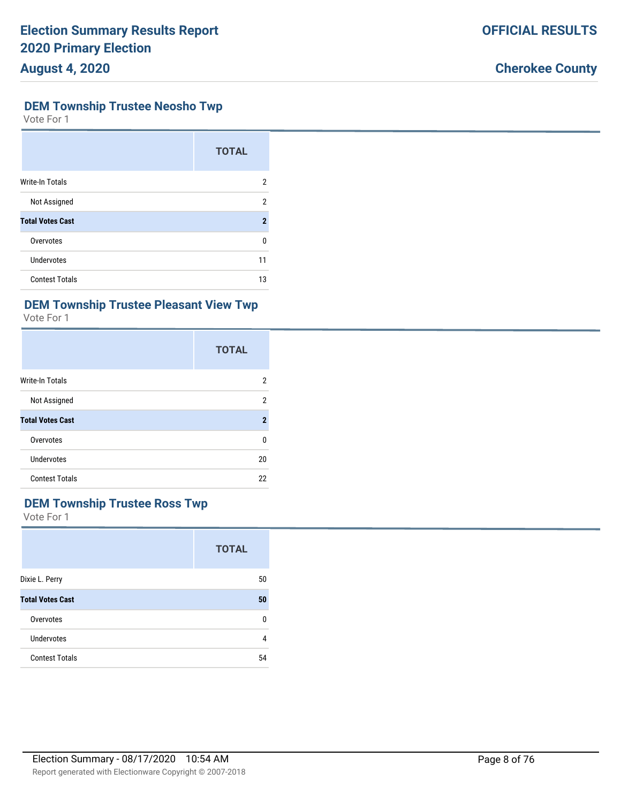#### **DEM Township Trustee Neosho Twp**

Vote For 1

|                         | <b>TOTAL</b>   |
|-------------------------|----------------|
| <b>Write-In Totals</b>  | 2              |
| Not Assigned            | 2              |
| <b>Total Votes Cast</b> | $\overline{2}$ |
| Overvotes               | U              |
| Undervotes              | 11             |
| <b>Contest Totals</b>   | 13             |

# **DEM Township Trustee Pleasant View Twp**

Vote For 1

|                         | <b>TOTAL</b> |
|-------------------------|--------------|
| <b>Write-In Totals</b>  | 2            |
| Not Assigned            | 2            |
| <b>Total Votes Cast</b> | $\mathbf 2$  |
| Overvotes               | 0            |
| <b>Undervotes</b>       | 20           |
| <b>Contest Totals</b>   | 22           |

# **DEM Township Trustee Ross Twp**

|                         | <b>TOTAL</b> |
|-------------------------|--------------|
| Dixie L. Perry          | 50           |
| <b>Total Votes Cast</b> | 50           |
| Overvotes               | U            |
| Undervotes              | 4            |
| <b>Contest Totals</b>   | 54           |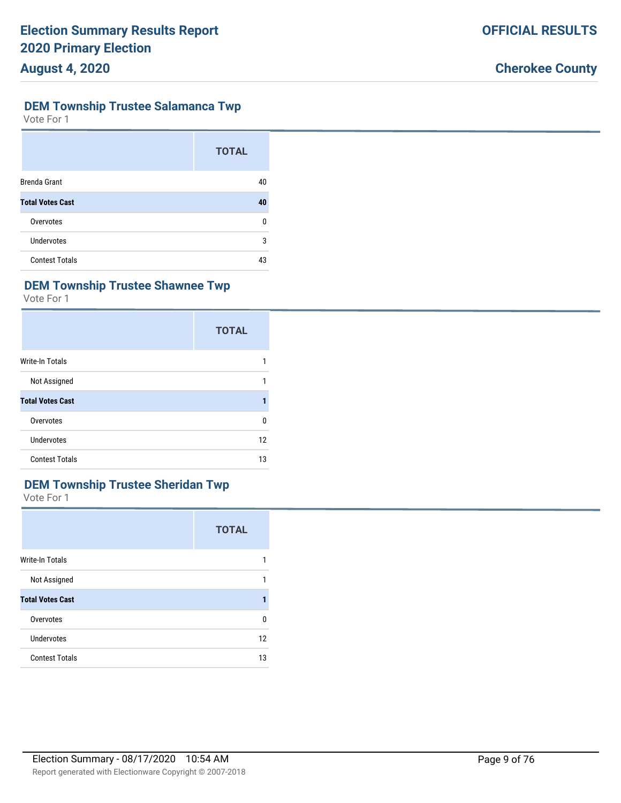### **DEM Township Trustee Salamanca Twp**

Vote For 1

|                         | <b>TOTAL</b> |
|-------------------------|--------------|
| <b>Brenda Grant</b>     | 40           |
| <b>Total Votes Cast</b> | 40           |
| Overvotes               | 0            |
| <b>Undervotes</b>       | 3            |
| <b>Contest Totals</b>   | 43           |

# **DEM Township Trustee Shawnee Twp**

Vote For 1

|                         | <b>TOTAL</b> |
|-------------------------|--------------|
| <b>Write-In Totals</b>  | 1            |
| Not Assigned            | 1            |
| <b>Total Votes Cast</b> |              |
| Overvotes               | 0            |
| Undervotes              | 12           |
| <b>Contest Totals</b>   | 13           |

# **DEM Township Trustee Sheridan Twp**

|                         | <b>TOTAL</b> |
|-------------------------|--------------|
| <b>Write-In Totals</b>  | 1            |
| Not Assigned            | 1            |
| <b>Total Votes Cast</b> |              |
| Overvotes               | 0            |
| <b>Undervotes</b>       | 12           |
| <b>Contest Totals</b>   | 13           |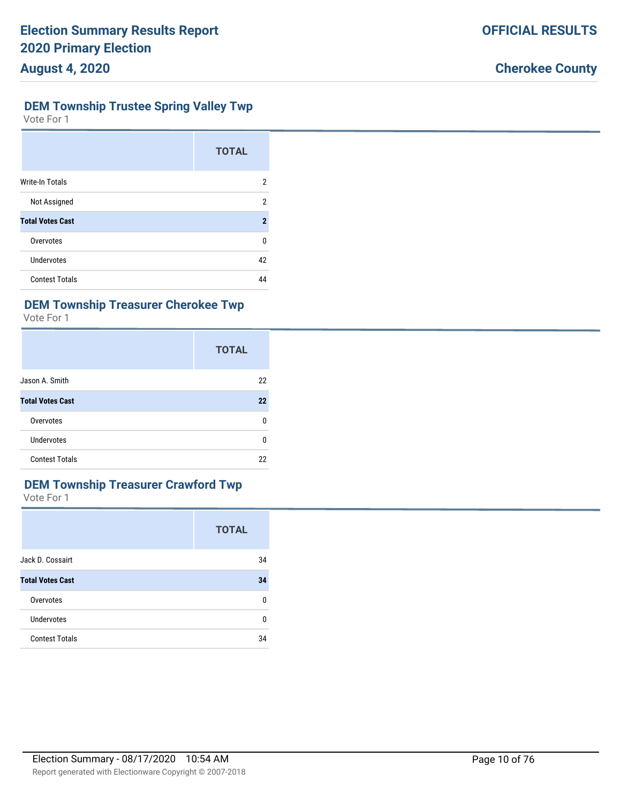# **DEM Township Trustee Spring Valley Twp**

Vote For 1

|                         | <b>TOTAL</b>            |
|-------------------------|-------------------------|
| <b>Write-In Totals</b>  | 2                       |
| Not Assigned            | 2                       |
| <b>Total Votes Cast</b> | $\overline{\mathbf{2}}$ |
| Overvotes               | 0                       |
| <b>Undervotes</b>       | 42                      |
| <b>Contest Totals</b>   | 44                      |

# **DEM Township Treasurer Cherokee Twp**

Vote For 1

|                         | <b>TOTAL</b> |
|-------------------------|--------------|
| Jason A. Smith          | 22           |
| <b>Total Votes Cast</b> | 22           |
| Overvotes               | 0            |
| Undervotes              | 0            |
| <b>Contest Totals</b>   | 22           |

# **DEM Township Treasurer Crawford Twp**

|                         | <b>TOTAL</b> |
|-------------------------|--------------|
| Jack D. Cossairt        | 34           |
| <b>Total Votes Cast</b> | 34           |
| Overvotes               | 0            |
| <b>Undervotes</b>       | U            |
| <b>Contest Totals</b>   | 34           |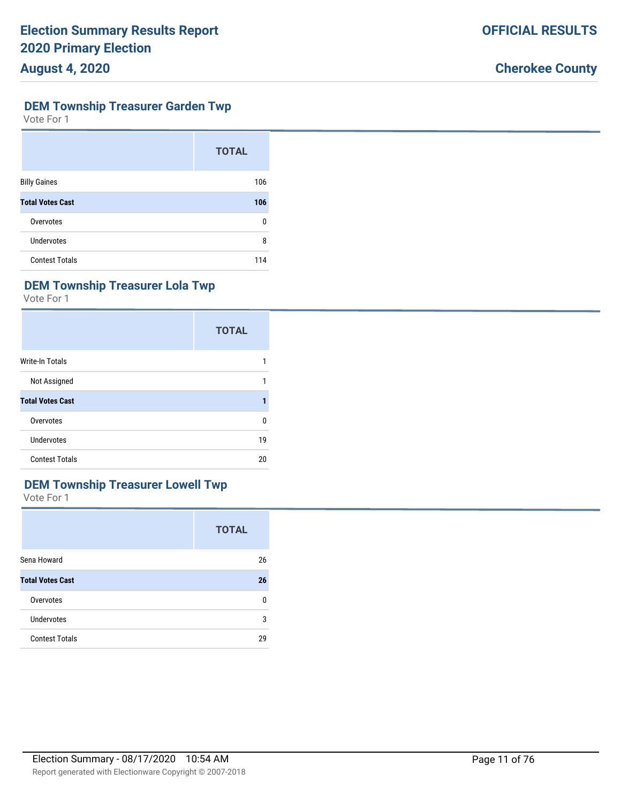#### **DEM Township Treasurer Garden Twp**

Vote For 1

|                         | <b>TOTAL</b> |
|-------------------------|--------------|
| <b>Billy Gaines</b>     | 106          |
| <b>Total Votes Cast</b> | 106          |
| Overvotes               | 0            |
| <b>Undervotes</b>       | 8            |
| <b>Contest Totals</b>   | 114          |

# **DEM Township Treasurer Lola Twp**

Vote For 1

|                         | <b>TOTAL</b> |
|-------------------------|--------------|
| <b>Write-In Totals</b>  |              |
| Not Assigned            | 1            |
| <b>Total Votes Cast</b> |              |
| Overvotes               | 0            |
| Undervotes              | 19           |
| <b>Contest Totals</b>   | 20           |

# **DEM Township Treasurer Lowell Twp**

|                         | <b>TOTAL</b> |
|-------------------------|--------------|
| Sena Howard             | 26           |
| <b>Total Votes Cast</b> | 26           |
| Overvotes               | 0            |
| Undervotes              | 3            |
| <b>Contest Totals</b>   | 29           |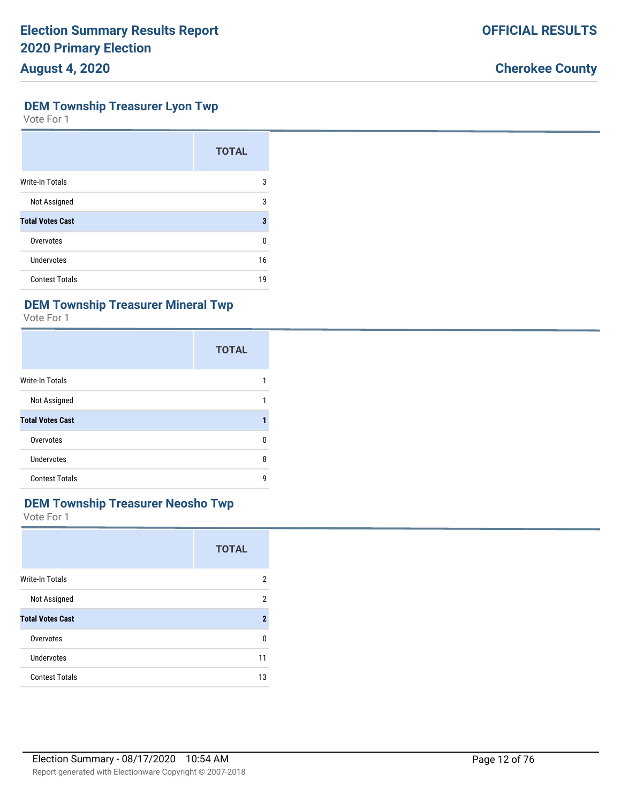#### **DEM Township Treasurer Lyon Twp**

Vote For 1

|                         | <b>TOTAL</b> |
|-------------------------|--------------|
| <b>Write-In Totals</b>  | 3            |
| Not Assigned            | 3            |
| <b>Total Votes Cast</b> | 3            |
| Overvotes               | U            |
| Undervotes              | 16           |
| <b>Contest Totals</b>   | 19           |

## **DEM Township Treasurer Mineral Twp**

Vote For 1

|                         | <b>TOTAL</b> |
|-------------------------|--------------|
| <b>Write-In Totals</b>  |              |
| Not Assigned            |              |
| <b>Total Votes Cast</b> |              |
| Overvotes               | 0            |
| <b>Undervotes</b>       | 8            |
| <b>Contest Totals</b>   | 9            |

# **DEM Township Treasurer Neosho Twp**

|                         | <b>TOTAL</b> |
|-------------------------|--------------|
| Write-In Totals         | 2            |
| Not Assigned            | 2            |
| <b>Total Votes Cast</b> | $\mathbf{2}$ |
| Overvotes               | 0            |
| Undervotes              | 11           |
| <b>Contest Totals</b>   | 13           |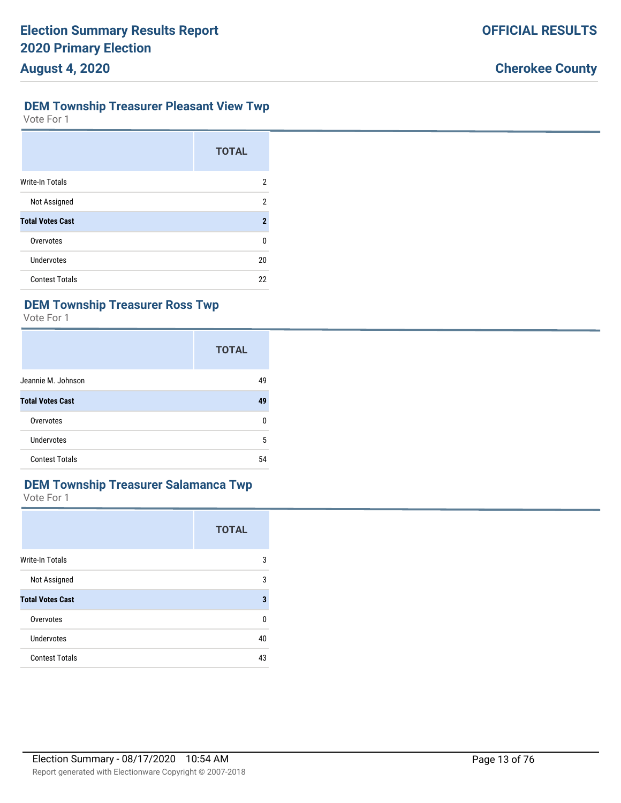## **DEM Township Treasurer Pleasant View Twp**

Vote For 1

|                         | <b>TOTAL</b>   |
|-------------------------|----------------|
| Write-In Totals         | 2              |
| Not Assigned            | 2              |
| <b>Total Votes Cast</b> | $\overline{2}$ |
| Overvotes               | 0              |
| <b>Undervotes</b>       | 20             |
| <b>Contest Totals</b>   | 22             |

# **DEM Township Treasurer Ross Twp**

Vote For 1

|                         | <b>TOTAL</b> |
|-------------------------|--------------|
| Jeannie M. Johnson      | 49           |
| <b>Total Votes Cast</b> | 49           |
| Overvotes               | 0            |
| Undervotes              | 5            |
| <b>Contest Totals</b>   | 54           |

# **DEM Township Treasurer Salamanca Twp**

|                         | <b>TOTAL</b> |
|-------------------------|--------------|
| <b>Write-In Totals</b>  | 3            |
| Not Assigned            | 3            |
| <b>Total Votes Cast</b> | 3            |
| Overvotes               | 0            |
| Undervotes              | 40           |
| <b>Contest Totals</b>   | 43           |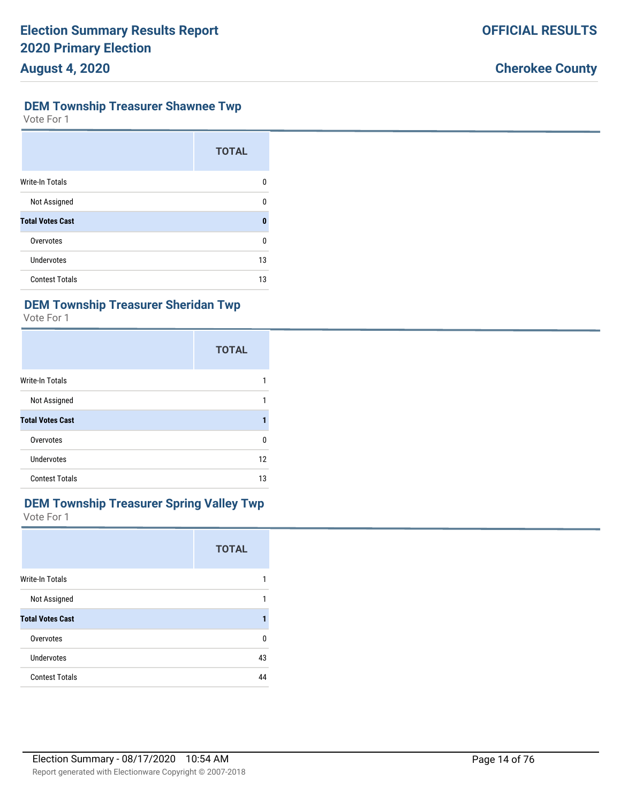# **DEM Township Treasurer Shawnee Twp**

Vote For 1

|                         | <b>TOTAL</b> |
|-------------------------|--------------|
| <b>Write-In Totals</b>  | n            |
| Not Assigned            | ŋ            |
| <b>Total Votes Cast</b> | Λ            |
| Overvotes               | U            |
| <b>Undervotes</b>       | 13           |
| <b>Contest Totals</b>   | 13           |

# **DEM Township Treasurer Sheridan Twp**

Vote For 1

|                         | <b>TOTAL</b> |
|-------------------------|--------------|
| Write-In Totals         |              |
| Not Assigned            |              |
| <b>Total Votes Cast</b> |              |
| Overvotes               | 0            |
| Undervotes              | 12           |
| <b>Contest Totals</b>   | 13           |

#### **DEM Township Treasurer Spring Valley Twp** Vote For 1

|                         | <b>TOTAL</b> |
|-------------------------|--------------|
| Write-In Totals         | 1            |
| Not Assigned            | 1            |
| <b>Total Votes Cast</b> | 1            |
| Overvotes               | 0            |
| <b>Undervotes</b>       | 43           |
| <b>Contest Totals</b>   | 44           |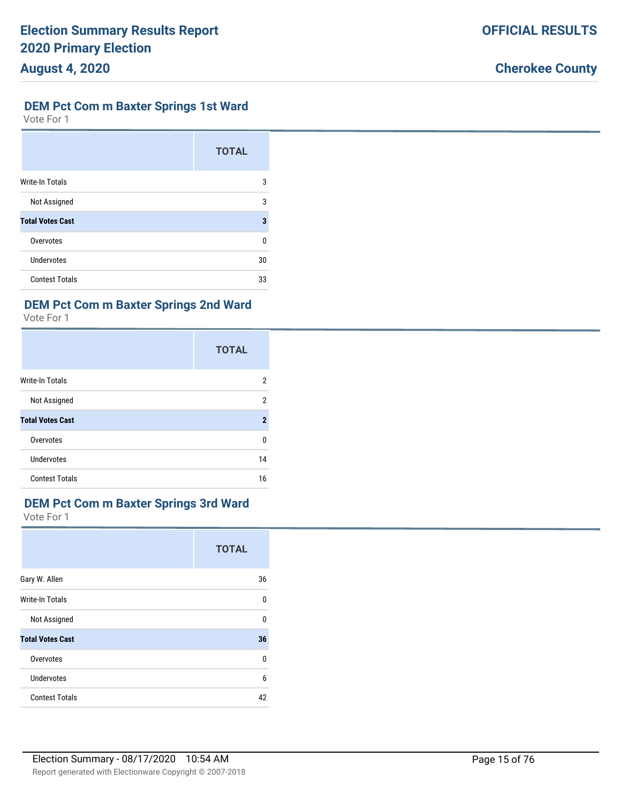# **DEM Pct Com m Baxter Springs 1st Ward**

Vote For 1

|                         | <b>TOTAL</b> |
|-------------------------|--------------|
| <b>Write-In Totals</b>  | 3            |
| Not Assigned            | 3            |
| <b>Total Votes Cast</b> | 3            |
| Overvotes               | U            |
| <b>Undervotes</b>       | 30           |
| <b>Contest Totals</b>   | 33           |

# **DEM Pct Com m Baxter Springs 2nd Ward**

Vote For 1

|                         | <b>TOTAL</b> |
|-------------------------|--------------|
| Write-In Totals         | 2            |
| Not Assigned            | 2            |
| <b>Total Votes Cast</b> | $\mathbf 2$  |
| Overvotes               | 0            |
| Undervotes              | 14           |
| <b>Contest Totals</b>   | 16           |

# **DEM Pct Com m Baxter Springs 3rd Ward**

|                         | <b>TOTAL</b> |
|-------------------------|--------------|
| Gary W. Allen           | 36           |
| <b>Write-In Totals</b>  | 0            |
| Not Assigned            | 0            |
| <b>Total Votes Cast</b> | 36           |
| Overvotes               | 0            |
| <b>Undervotes</b>       | 6            |
| <b>Contest Totals</b>   | 42           |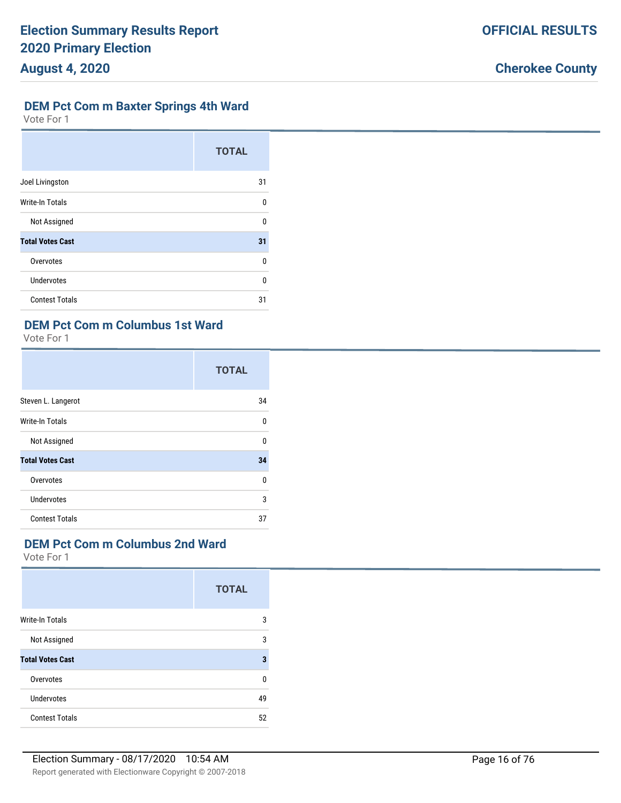# **DEM Pct Com m Baxter Springs 4th Ward**

Vote For 1

|                         | <b>TOTAL</b> |
|-------------------------|--------------|
| Joel Livingston         | 31           |
| <b>Write-In Totals</b>  | $\Omega$     |
| Not Assigned            | $\Omega$     |
| <b>Total Votes Cast</b> | 31           |
| Overvotes               | U            |
| <b>Undervotes</b>       | U            |
| <b>Contest Totals</b>   | 31           |

# **DEM Pct Com m Columbus 1st Ward**

Vote For 1

|                         | <b>TOTAL</b> |
|-------------------------|--------------|
| Steven L. Langerot      | 34           |
| Write-In Totals         | U            |
| Not Assigned            | $\Omega$     |
| <b>Total Votes Cast</b> | 34           |
| Overvotes               | U            |
| Undervotes              | 3            |
| <b>Contest Totals</b>   | 37           |

## **DEM Pct Com m Columbus 2nd Ward**

|                         | <b>TOTAL</b> |
|-------------------------|--------------|
| <b>Write-In Totals</b>  | 3            |
| Not Assigned            | 3            |
| <b>Total Votes Cast</b> | 3            |
| Overvotes               | 0            |
| Undervotes              | 49           |
| <b>Contest Totals</b>   | 52           |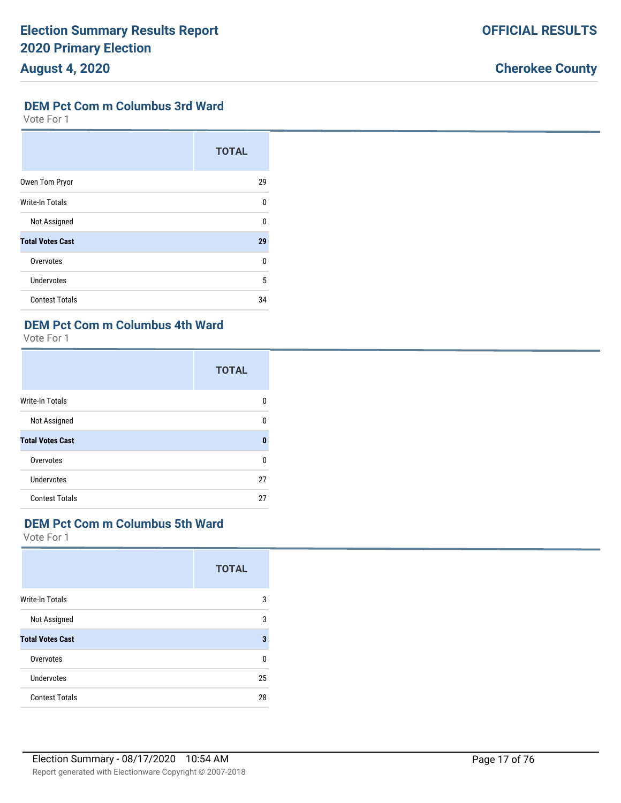# **DEM Pct Com m Columbus 3rd Ward**

Vote For 1

|                         | <b>TOTAL</b> |
|-------------------------|--------------|
| Owen Tom Pryor          | 29           |
| <b>Write-In Totals</b>  | 0            |
| Not Assigned            | U            |
| <b>Total Votes Cast</b> | 29           |
| Overvotes               | U            |
| <b>Undervotes</b>       | 5            |
| <b>Contest Totals</b>   | 34           |

# **DEM Pct Com m Columbus 4th Ward**

Vote For 1

|                         | <b>TOTAL</b> |
|-------------------------|--------------|
| <b>Write-In Totals</b>  | n            |
| Not Assigned            | U            |
| <b>Total Votes Cast</b> | Ω            |
| Overvotes               | U            |
| Undervotes              | 27           |
| <b>Contest Totals</b>   | 27           |

## **DEM Pct Com m Columbus 5th Ward**

|                         | <b>TOTAL</b> |
|-------------------------|--------------|
| <b>Write-In Totals</b>  | 3            |
| Not Assigned            | 3            |
| <b>Total Votes Cast</b> | 3            |
| Overvotes               | 0            |
| Undervotes              | 25           |
| <b>Contest Totals</b>   | 28           |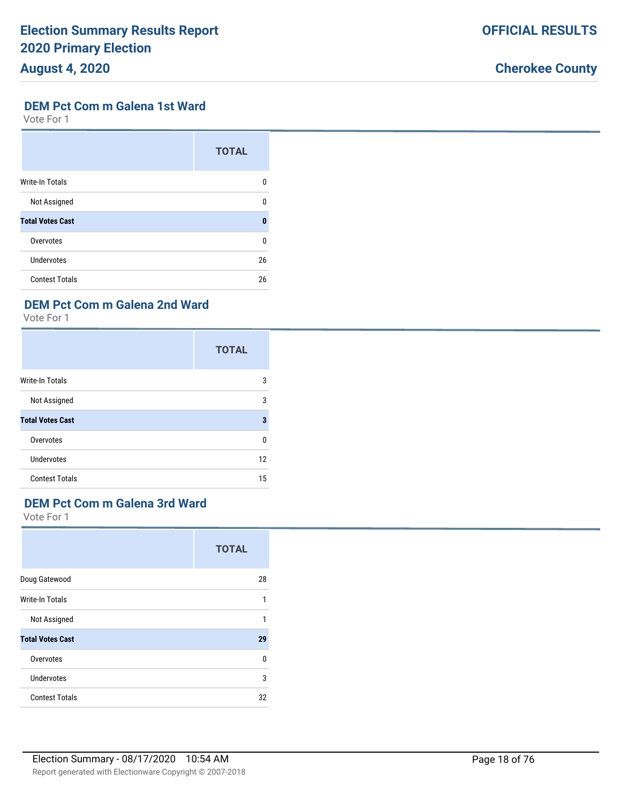# **Cherokee County**

### **DEM Pct Com m Galena 1st Ward**

Vote For 1

|                         | <b>TOTAL</b> |
|-------------------------|--------------|
| <b>Write-In Totals</b>  | 0            |
| Not Assigned            | 0            |
| <b>Total Votes Cast</b> | $\mathbf{0}$ |
| Overvotes               | 0            |
| <b>Undervotes</b>       | 26           |
| <b>Contest Totals</b>   | 26           |

# **DEM Pct Com m Galena 2nd Ward**

Vote For 1

|                         | <b>TOTAL</b> |
|-------------------------|--------------|
| Write-In Totals         | 3            |
| Not Assigned            | 3            |
| <b>Total Votes Cast</b> | 3            |
| Overvotes               | 0            |
| <b>Undervotes</b>       | 12           |
| <b>Contest Totals</b>   | 15           |

# **DEM Pct Com m Galena 3rd Ward**

|                         | <b>TOTAL</b> |
|-------------------------|--------------|
| Doug Gatewood           | 28           |
| <b>Write-In Totals</b>  | 1            |
| Not Assigned            | 1            |
| <b>Total Votes Cast</b> | 29           |
| Overvotes               | 0            |
| <b>Undervotes</b>       | 3            |
| <b>Contest Totals</b>   | 32           |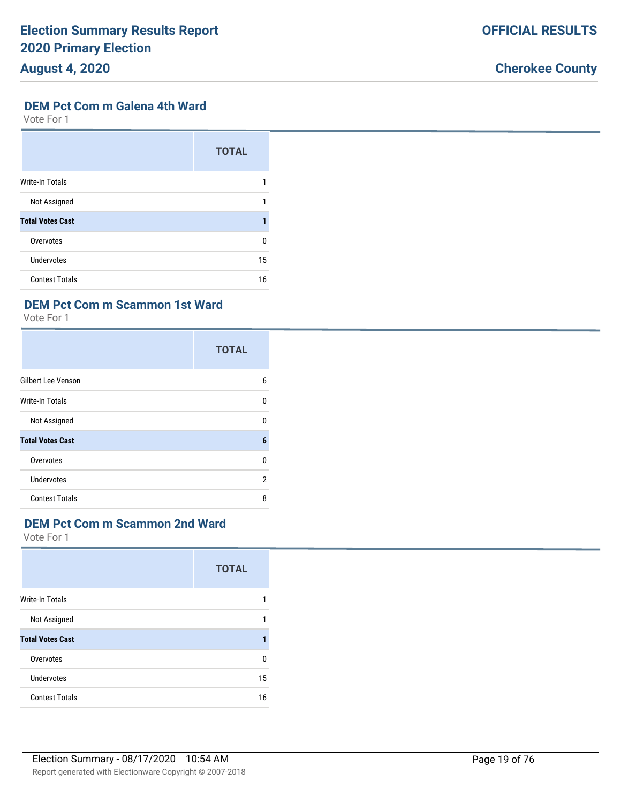### **DEM Pct Com m Galena 4th Ward**

Vote For 1

|                         | <b>TOTAL</b> |
|-------------------------|--------------|
| <b>Write-In Totals</b>  |              |
| Not Assigned            |              |
| <b>Total Votes Cast</b> |              |
| Overvotes               | 0            |
| <b>Undervotes</b>       | 15           |
| <b>Contest Totals</b>   | 16           |

# **DEM Pct Com m Scammon 1st Ward**

Vote For 1

|                           | <b>TOTAL</b> |
|---------------------------|--------------|
| <b>Gilbert Lee Venson</b> | 6            |
| <b>Write-In Totals</b>    | U            |
| Not Assigned              | 0            |
| <b>Total Votes Cast</b>   | 6            |
| Overvotes                 | 0            |
| <b>Undervotes</b>         | 2            |
| <b>Contest Totals</b>     | 8            |

## **DEM Pct Com m Scammon 2nd Ward**

|                         | <b>TOTAL</b> |
|-------------------------|--------------|
| <b>Write-In Totals</b>  |              |
| Not Assigned            |              |
| <b>Total Votes Cast</b> |              |
| Overvotes               | n            |
| Undervotes              | 15           |
| <b>Contest Totals</b>   | 16           |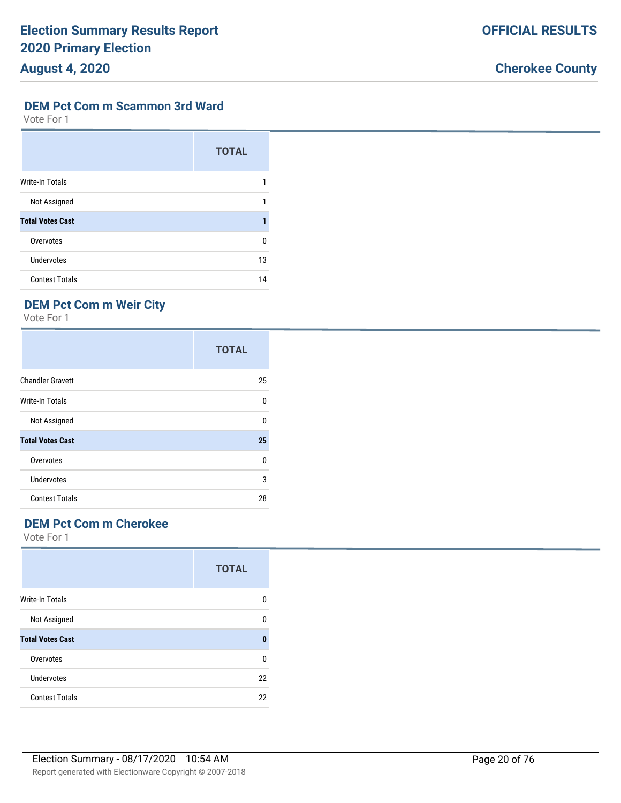**OFFICIAL RESULTS**

#### **DEM Pct Com m Scammon 3rd Ward**

Vote For 1

|                         | <b>TOTAL</b> |
|-------------------------|--------------|
| <b>Write-In Totals</b>  |              |
| Not Assigned            |              |
| <b>Total Votes Cast</b> |              |
| Overvotes               | U            |
| Undervotes              | 13           |
| <b>Contest Totals</b>   | 14           |

# **DEM Pct Com m Weir City**

Vote For 1

|                         | <b>TOTAL</b> |
|-------------------------|--------------|
| <b>Chandler Gravett</b> | 25           |
| <b>Write-In Totals</b>  | 0            |
| Not Assigned            | 0            |
| <b>Total Votes Cast</b> | 25           |
| Overvotes               | 0            |
| <b>Undervotes</b>       | 3            |
| <b>Contest Totals</b>   | 28           |

# **DEM Pct Com m Cherokee**

|                         | <b>TOTAL</b> |
|-------------------------|--------------|
| <b>Write-In Totals</b>  | n            |
| Not Assigned            | n            |
| <b>Total Votes Cast</b> | n            |
| Overvotes               | U            |
| Undervotes              | 22           |
| <b>Contest Totals</b>   | 22           |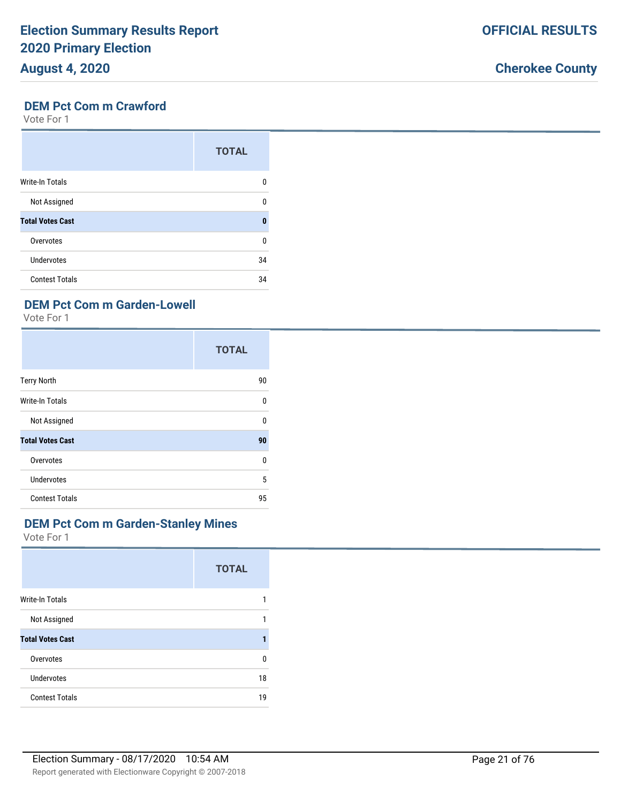#### Report generated with Electionware Copyright © 2007-2018 Election Summary - 08/17/2020 10:54 AM Page 21 of 76

#### **DEM Pct Com m Crawford**

Vote For 1

|                         | <b>TOTAL</b> |
|-------------------------|--------------|
| <b>Write-In Totals</b>  | 0            |
| Not Assigned            | U            |
| <b>Total Votes Cast</b> | $\mathbf{0}$ |
| Overvotes               | U            |
| Undervotes              | 34           |
| <b>Contest Totals</b>   | 34           |

# **DEM Pct Com m Garden-Lowell**

Vote For 1

|                         | <b>TOTAL</b> |
|-------------------------|--------------|
| <b>Terry North</b>      | 90           |
| <b>Write-In Totals</b>  | 0            |
| Not Assigned            | 0            |
| <b>Total Votes Cast</b> | 90           |
| Overvotes               | 0            |
| Undervotes              | 5            |
| <b>Contest Totals</b>   | 95           |

## **DEM Pct Com m Garden-Stanley Mines**

Vote For 1

|                         | <b>TOTAL</b> |
|-------------------------|--------------|
| Write-In Totals         | 1            |
| Not Assigned            | 1            |
| <b>Total Votes Cast</b> |              |
| Overvotes               | 0            |
| Undervotes              | 18           |
| <b>Contest Totals</b>   | 19           |
|                         |              |

# **Cherokee County**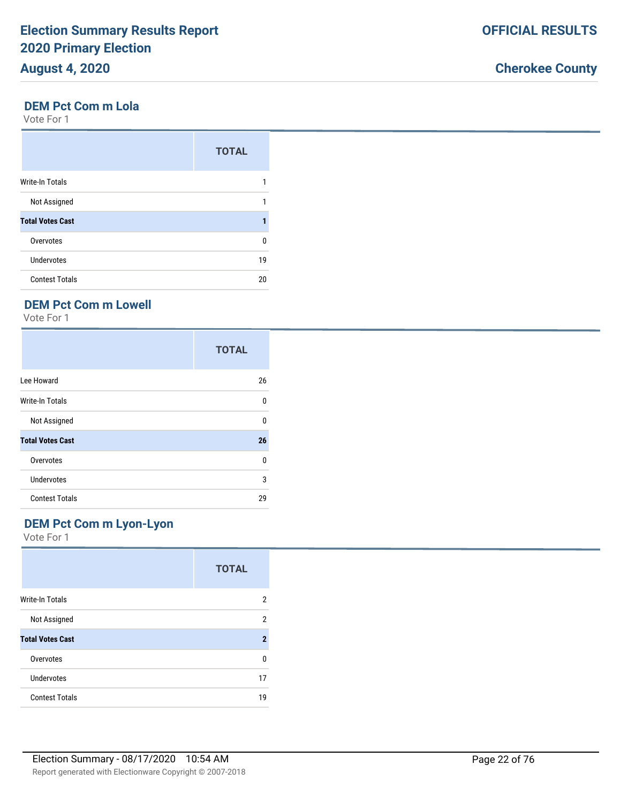#### **DEM Pct Com m Lola**

Vote For 1

|                         | <b>TOTAL</b> |
|-------------------------|--------------|
| <b>Write-In Totals</b>  |              |
| Not Assigned            |              |
| <b>Total Votes Cast</b> |              |
| Overvotes               | 0            |
| Undervotes              | 19           |
| <b>Contest Totals</b>   | 20           |

# **DEM Pct Com m Lowell**

Vote For 1

|                         | <b>TOTAL</b> |
|-------------------------|--------------|
| Lee Howard              | 26           |
| Write-In Totals         | 0            |
| Not Assigned            | 0            |
| <b>Total Votes Cast</b> | 26           |
| Overvotes               | 0            |
| Undervotes              | 3            |
| <b>Contest Totals</b>   | 29           |

## **DEM Pct Com m Lyon-Lyon**

|                         | <b>TOTAL</b>   |
|-------------------------|----------------|
| <b>Write-In Totals</b>  | 2              |
| Not Assigned            | $\overline{2}$ |
| <b>Total Votes Cast</b> | $\mathbf 2$    |
| Overvotes               | U              |
| Undervotes              | 17             |
| <b>Contest Totals</b>   | 19             |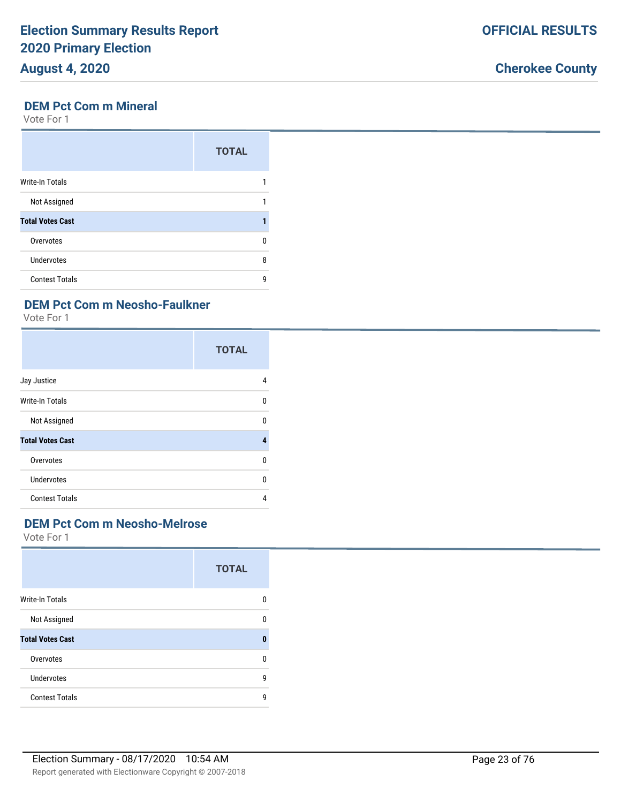# **Cherokee County**

## **DEM Pct Com m Mineral**

Vote For 1

|                         | <b>TOTAL</b> |
|-------------------------|--------------|
| Write-In Totals         |              |
| Not Assigned            |              |
| <b>Total Votes Cast</b> |              |
| Overvotes               | n            |
| <b>Undervotes</b>       | 8            |
| <b>Contest Totals</b>   | g            |

# **DEM Pct Com m Neosho-Faulkner**

Vote For 1

|                         | <b>TOTAL</b> |
|-------------------------|--------------|
| Jay Justice             | 4            |
| <b>Write-In Totals</b>  | 0            |
| Not Assigned            | 0            |
| <b>Total Votes Cast</b> | 4            |
| Overvotes               | 0            |
| <b>Undervotes</b>       | 0            |
| <b>Contest Totals</b>   | 4            |

# **DEM Pct Com m Neosho-Melrose**

|                         | <b>TOTAL</b> |
|-------------------------|--------------|
| <b>Write-In Totals</b>  | 0            |
| Not Assigned            | 0            |
| <b>Total Votes Cast</b> | 0            |
| Overvotes               | 0            |
| Undervotes              | 9            |
| <b>Contest Totals</b>   | g            |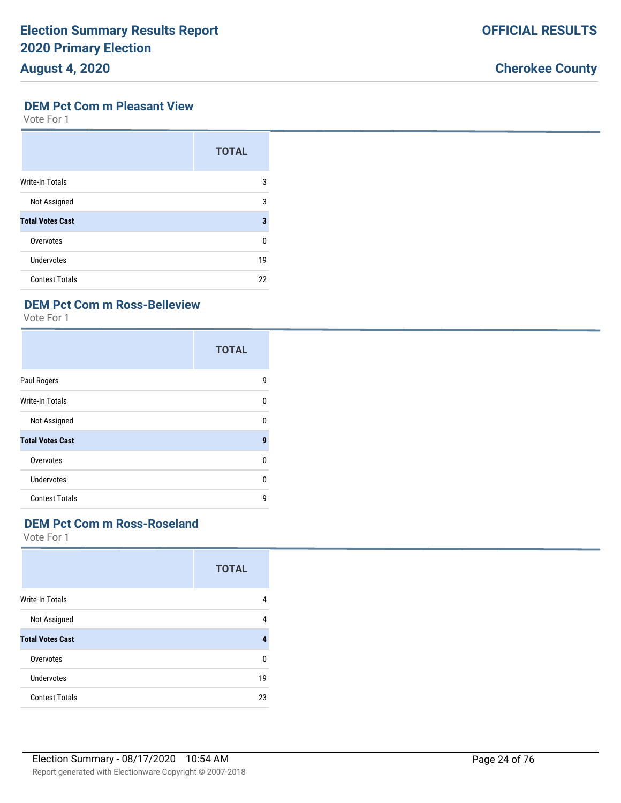# **August 4, 2020**

# **Cherokee County**

#### **DEM Pct Com m Pleasant View**

Vote For 1

|                         | <b>TOTAL</b> |
|-------------------------|--------------|
| <b>Write-In Totals</b>  | 3            |
| Not Assigned            | 3            |
| <b>Total Votes Cast</b> | 3            |
| Overvotes               | U            |
| Undervotes              | 19           |
| <b>Contest Totals</b>   | 22           |

# **DEM Pct Com m Ross-Belleview**

Vote For 1

|                         | <b>TOTAL</b> |
|-------------------------|--------------|
| Paul Rogers             | 9            |
| <b>Write-In Totals</b>  | $\Omega$     |
| Not Assigned            | $\Omega$     |
| <b>Total Votes Cast</b> | 9            |
| Overvotes               | $\Omega$     |
| <b>Undervotes</b>       | 0            |
| <b>Contest Totals</b>   | g            |

# **DEM Pct Com m Ross-Roseland**

|                         | <b>TOTAL</b> |
|-------------------------|--------------|
| <b>Write-In Totals</b>  | 4            |
| Not Assigned            | 4            |
| <b>Total Votes Cast</b> |              |
| Overvotes               | 0            |
| Undervotes              | 19           |
| <b>Contest Totals</b>   | 23           |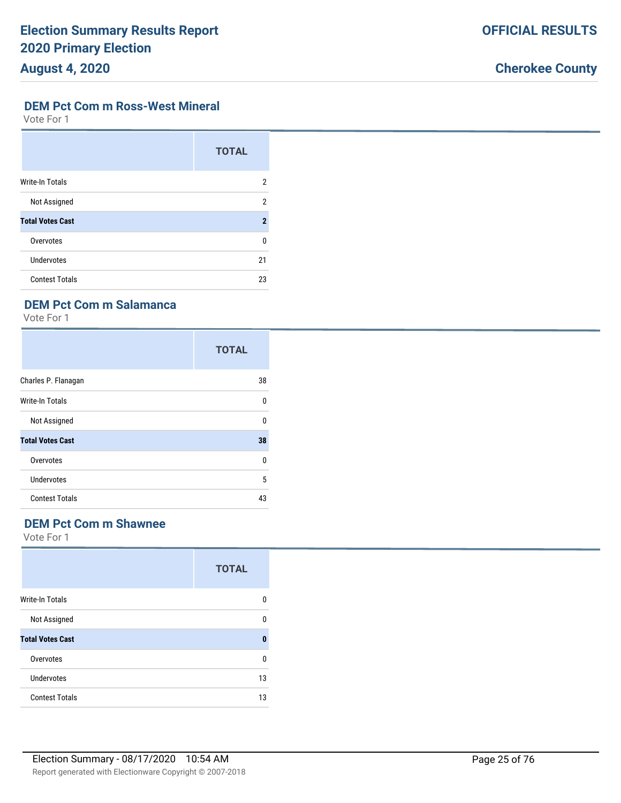# **Cherokee County**

#### **DEM Pct Com m Ross-West Mineral**

Vote For 1

|                         | <b>TOTAL</b>   |
|-------------------------|----------------|
| <b>Write-In Totals</b>  | 2              |
| Not Assigned            | 2              |
| <b>Total Votes Cast</b> | $\overline{2}$ |
| Overvotes               | 0              |
| Undervotes              | 21             |
| <b>Contest Totals</b>   | 23             |

# **DEM Pct Com m Salamanca**

Vote For 1

|                         | <b>TOTAL</b> |
|-------------------------|--------------|
| Charles P. Flanagan     | 38           |
| Write-In Totals         | 0            |
| Not Assigned            | 0            |
| <b>Total Votes Cast</b> | 38           |
| Overvotes               | $\Omega$     |
| <b>Undervotes</b>       | 5            |
| <b>Contest Totals</b>   | 43           |

# **DEM Pct Com m Shawnee**

|                         | <b>TOTAL</b> |
|-------------------------|--------------|
| <b>Write-In Totals</b>  | O            |
| Not Assigned            | n            |
| <b>Total Votes Cast</b> | 0            |
| Overvotes               | n            |
| Undervotes              | 13           |
| <b>Contest Totals</b>   | 13           |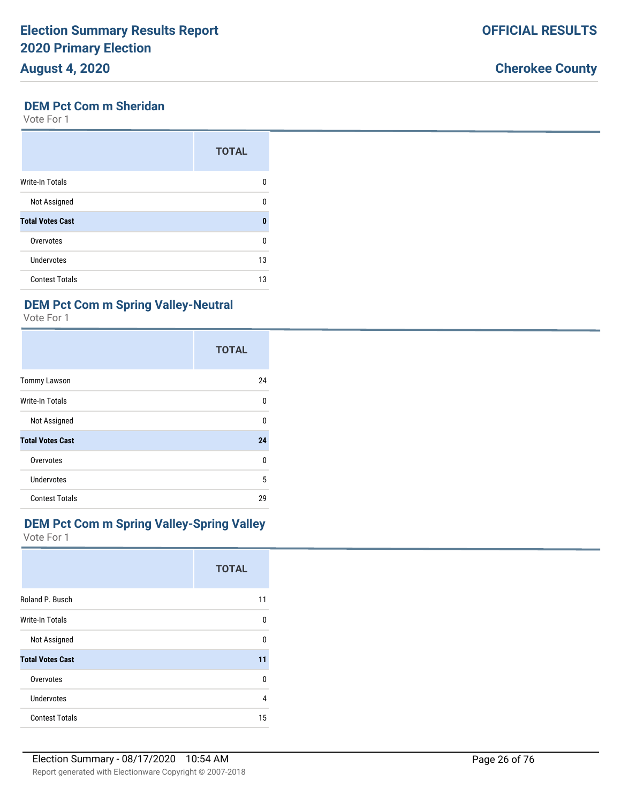## **DEM Pct Com m Sheridan**

Vote For 1

|                         | <b>TOTAL</b> |
|-------------------------|--------------|
| <b>Write-In Totals</b>  | n            |
| Not Assigned            | ŋ            |
| <b>Total Votes Cast</b> | Λ            |
| Overvotes               | U            |
| <b>Undervotes</b>       | 13           |
| <b>Contest Totals</b>   | 13           |

# **DEM Pct Com m Spring Valley-Neutral**

Vote For 1

|                         | <b>TOTAL</b> |
|-------------------------|--------------|
| <b>Tommy Lawson</b>     | 24           |
| <b>Write-In Totals</b>  | 0            |
| Not Assigned            | 0            |
| <b>Total Votes Cast</b> | 24           |
| Overvotes               | 0            |
| <b>Undervotes</b>       | 5            |
| <b>Contest Totals</b>   | 29           |

# **DEM Pct Com m Spring Valley-Spring Valley**

Vote For 1

|                         | <b>TOTAL</b> |
|-------------------------|--------------|
| Roland P. Busch         | 11           |
| <b>Write-In Totals</b>  | 0            |
| Not Assigned            | 0            |
| <b>Total Votes Cast</b> | 11           |
| Overvotes               | 0            |
| <b>Undervotes</b>       | 4            |
| <b>Contest Totals</b>   | 15           |

**Cherokee County**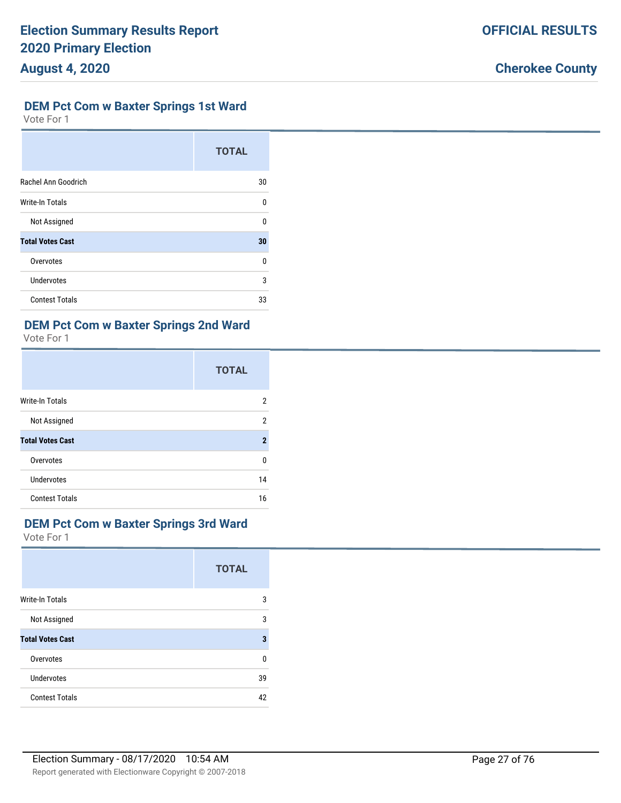### **DEM Pct Com w Baxter Springs 1st Ward**

Vote For 1

|                         | <b>TOTAL</b> |
|-------------------------|--------------|
| Rachel Ann Goodrich     | 30           |
| <b>Write-In Totals</b>  | $\Omega$     |
| Not Assigned            | U            |
| <b>Total Votes Cast</b> | 30           |
| Overvotes               | U            |
| <b>Undervotes</b>       | 3            |
| <b>Contest Totals</b>   | 33           |

# **DEM Pct Com w Baxter Springs 2nd Ward**

Vote For 1

|                         | <b>TOTAL</b>   |
|-------------------------|----------------|
| <b>Write-In Totals</b>  | 2              |
| Not Assigned            | $\overline{2}$ |
| <b>Total Votes Cast</b> | $\overline{2}$ |
| Overvotes               | U              |
| Undervotes              | 14             |
| <b>Contest Totals</b>   | 16             |

#### **DEM Pct Com w Baxter Springs 3rd Ward**

|                         | <b>TOTAL</b> |
|-------------------------|--------------|
| Write-In Totals         | 3            |
| Not Assigned            | 3            |
| <b>Total Votes Cast</b> | 3            |
| Overvotes               | 0            |
| <b>Undervotes</b>       | 39           |
| <b>Contest Totals</b>   | 42           |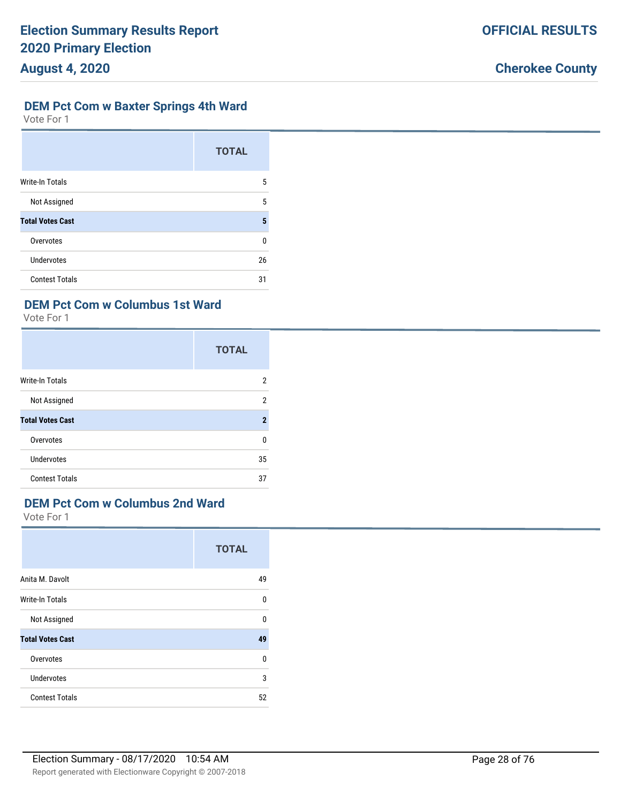### **DEM Pct Com w Baxter Springs 4th Ward**

Vote For 1

|                         | <b>TOTAL</b> |
|-------------------------|--------------|
| <b>Write-In Totals</b>  | 5            |
| Not Assigned            | 5            |
| <b>Total Votes Cast</b> | 5            |
| Overvotes               | U            |
| Undervotes              | 26           |
| <b>Contest Totals</b>   | 31           |

# **DEM Pct Com w Columbus 1st Ward**

Vote For 1

|                         | <b>TOTAL</b> |
|-------------------------|--------------|
| <b>Write-In Totals</b>  | 2            |
| Not Assigned            | 2            |
| <b>Total Votes Cast</b> | $\mathbf 2$  |
| Overvotes               | 0            |
| Undervotes              | 35           |
| <b>Contest Totals</b>   | 37           |

# **DEM Pct Com w Columbus 2nd Ward**

|                         | <b>TOTAL</b> |
|-------------------------|--------------|
| Anita M. Davolt         | 49           |
| <b>Write-In Totals</b>  | 0            |
| Not Assigned            | $\Omega$     |
| <b>Total Votes Cast</b> | 49           |
| Overvotes               | 0            |
| <b>Undervotes</b>       | 3            |
| <b>Contest Totals</b>   | 52           |
|                         |              |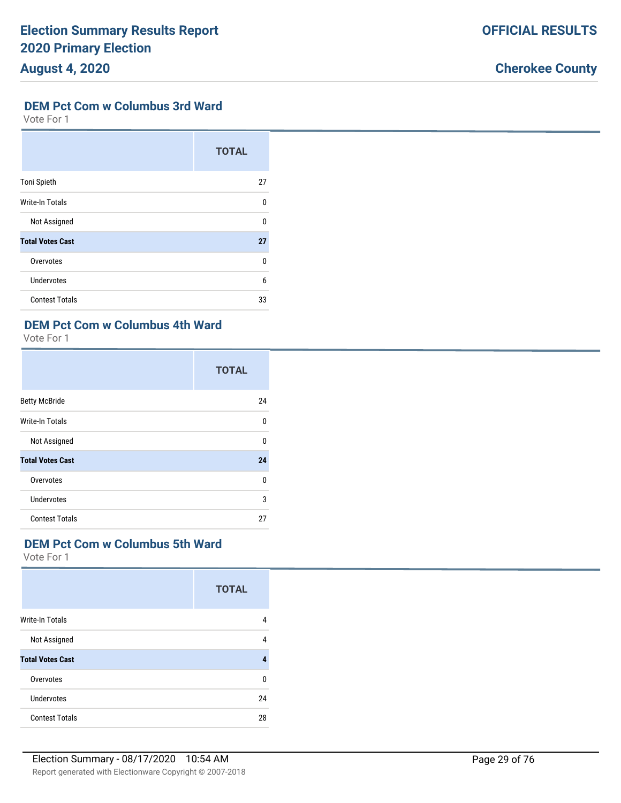#### **DEM Pct Com w Columbus 3rd Ward**

Vote For 1

|                         | <b>TOTAL</b> |
|-------------------------|--------------|
| <b>Toni Spieth</b>      | 27           |
| <b>Write-In Totals</b>  | 0            |
| Not Assigned            | $\Omega$     |
| <b>Total Votes Cast</b> | 27           |
| Overvotes               | $\Omega$     |
| <b>Undervotes</b>       | 6            |
| <b>Contest Totals</b>   | 33           |

# **DEM Pct Com w Columbus 4th Ward**

Vote For 1

|                         | <b>TOTAL</b> |
|-------------------------|--------------|
| <b>Betty McBride</b>    | 24           |
| Write-In Totals         | 0            |
| Not Assigned            | U            |
| <b>Total Votes Cast</b> | 24           |
| Overvotes               | U            |
| Undervotes              | 3            |
| <b>Contest Totals</b>   | 27           |

# **DEM Pct Com w Columbus 5th Ward**

|                         | <b>TOTAL</b> |
|-------------------------|--------------|
| <b>Write-In Totals</b>  | 4            |
| Not Assigned            | 4            |
| <b>Total Votes Cast</b> | 4            |
| Overvotes               | 0            |
| Undervotes              | 24           |
| <b>Contest Totals</b>   | 28           |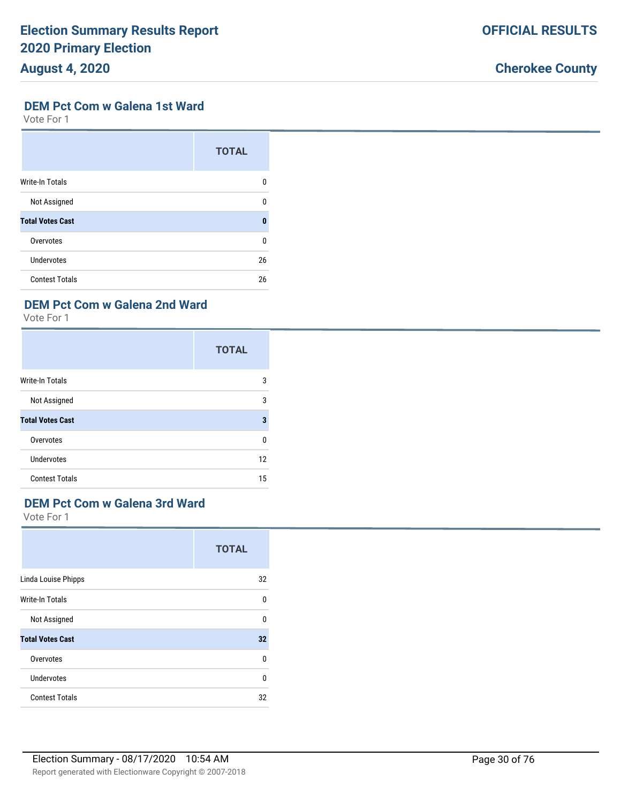# **Cherokee County**

#### **DEM Pct Com w Galena 1st Ward**

Vote For 1

|                         | <b>TOTAL</b> |
|-------------------------|--------------|
| <b>Write-In Totals</b>  | 0            |
| Not Assigned            | 0            |
| <b>Total Votes Cast</b> | $\mathbf{0}$ |
| Overvotes               | 0            |
| Undervotes              | 26           |
| <b>Contest Totals</b>   | 26           |

# **DEM Pct Com w Galena 2nd Ward**

Vote For 1

|                         | <b>TOTAL</b> |
|-------------------------|--------------|
| Write-In Totals         | 3            |
| Not Assigned            | 3            |
| <b>Total Votes Cast</b> | 3            |
| Overvotes               | 0            |
| Undervotes              | 12           |
| <b>Contest Totals</b>   | 15           |

# **DEM Pct Com w Galena 3rd Ward**

|                         | <b>TOTAL</b> |
|-------------------------|--------------|
| Linda Louise Phipps     | 32           |
| Write-In Totals         | 0            |
| Not Assigned            | 0            |
| <b>Total Votes Cast</b> | 32           |
| Overvotes               | $\Omega$     |
| <b>Undervotes</b>       | 0            |
| <b>Contest Totals</b>   | 32           |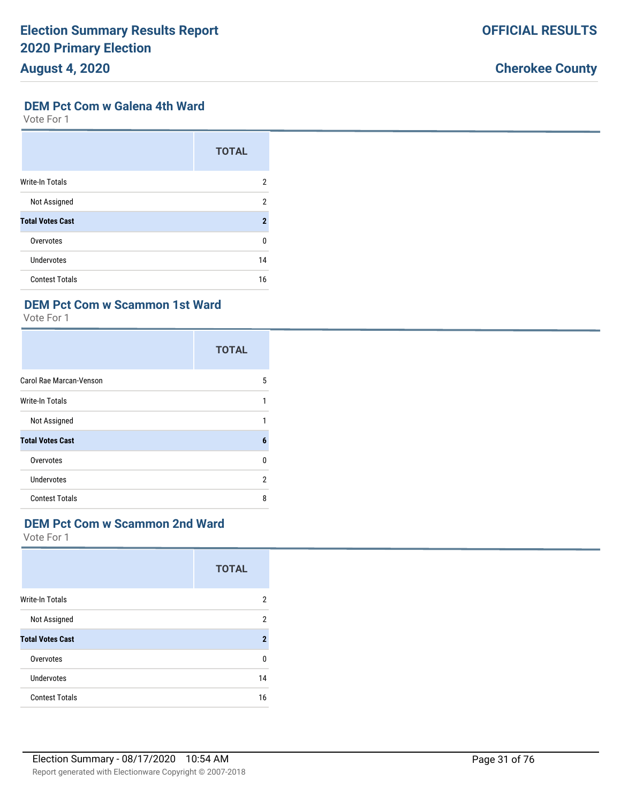# **Cherokee County**

#### **DEM Pct Com w Galena 4th Ward**

Vote For 1

|                         | <b>TOTAL</b>        |
|-------------------------|---------------------|
| <b>Write-In Totals</b>  | 2                   |
| Not Assigned            | 2                   |
| <b>Total Votes Cast</b> | $\boldsymbol{\eta}$ |
| Overvotes               | $\Omega$            |
| Undervotes              | 14                  |
| <b>Contest Totals</b>   | 16                  |

# **DEM Pct Com w Scammon 1st Ward**

Vote For 1

|                         | <b>TOTAL</b> |
|-------------------------|--------------|
| Carol Rae Marcan-Venson | 5            |
| Write-In Totals         | 1            |
| Not Assigned            | 1            |
| <b>Total Votes Cast</b> | 6            |
| Overvotes               | 0            |
| <b>Undervotes</b>       | 2            |
| <b>Contest Totals</b>   | 8            |

# **DEM Pct Com w Scammon 2nd Ward**

|                         | <b>TOTAL</b>   |
|-------------------------|----------------|
| <b>Write-In Totals</b>  | 2              |
| Not Assigned            | 2              |
| <b>Total Votes Cast</b> | $\overline{2}$ |
| Overvotes               | U              |
| Undervotes              | 14             |
| <b>Contest Totals</b>   | 16             |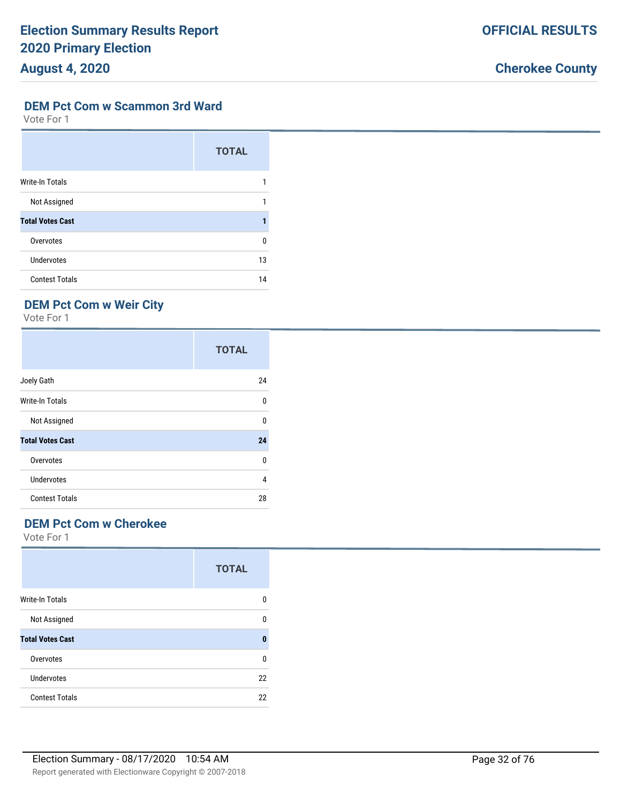#### **DEM Pct Com w Scammon 3rd Ward**

Vote For 1

|                         | <b>TOTAL</b> |
|-------------------------|--------------|
| <b>Write-In Totals</b>  |              |
| Not Assigned            | 1            |
| <b>Total Votes Cast</b> |              |
| Overvotes               | $\Omega$     |
| Undervotes              | 13           |
| <b>Contest Totals</b>   | 14           |

# **DEM Pct Com w Weir City**

Vote For 1

|                         | <b>TOTAL</b> |
|-------------------------|--------------|
| Joely Gath              | 24           |
| Write-In Totals         | 0            |
| Not Assigned            | 0            |
| <b>Total Votes Cast</b> | 24           |
| Overvotes               | 0            |
| <b>Undervotes</b>       | 4            |
| <b>Contest Totals</b>   | 28           |

# **DEM Pct Com w Cherokee**

|                         | <b>TOTAL</b> |
|-------------------------|--------------|
| <b>Write-In Totals</b>  | 0            |
| Not Assigned            | 0            |
| <b>Total Votes Cast</b> | 0            |
| Overvotes               | $\Omega$     |
| Undervotes              | 22           |
| <b>Contest Totals</b>   | 22           |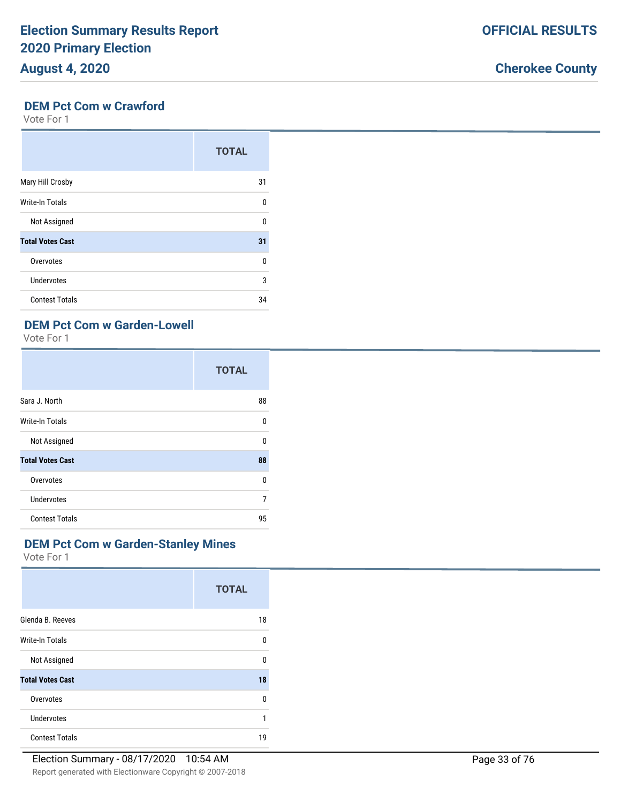# **Cherokee County**

# **DEM Pct Com w Crawford**

Vote For 1

|                         | <b>TOTAL</b> |
|-------------------------|--------------|
| Mary Hill Crosby        | 31           |
| <b>Write-In Totals</b>  | 0            |
| Not Assigned            | $\Omega$     |
| <b>Total Votes Cast</b> | 31           |
| Overvotes               | 0            |
| Undervotes              | 3            |
| <b>Contest Totals</b>   | 34           |

# **DEM Pct Com w Garden-Lowell**

Vote For 1

|                         | <b>TOTAL</b> |
|-------------------------|--------------|
| Sara J. North           | 88           |
| <b>Write-In Totals</b>  | 0            |
| Not Assigned            | $\Omega$     |
| <b>Total Votes Cast</b> | 88           |
| Overvotes               | 0            |
| Undervotes              | 7            |
| <b>Contest Totals</b>   | 95           |

## **DEM Pct Com w Garden-Stanley Mines**

|                         | <b>TOTAL</b> |
|-------------------------|--------------|
| Glenda B. Reeves        | 18           |
| <b>Write-In Totals</b>  | 0            |
| Not Assigned            | $\Omega$     |
| <b>Total Votes Cast</b> | 18           |
| Overvotes               | $\Omega$     |
| Undervotes              | 1            |
| <b>Contest Totals</b>   | 19           |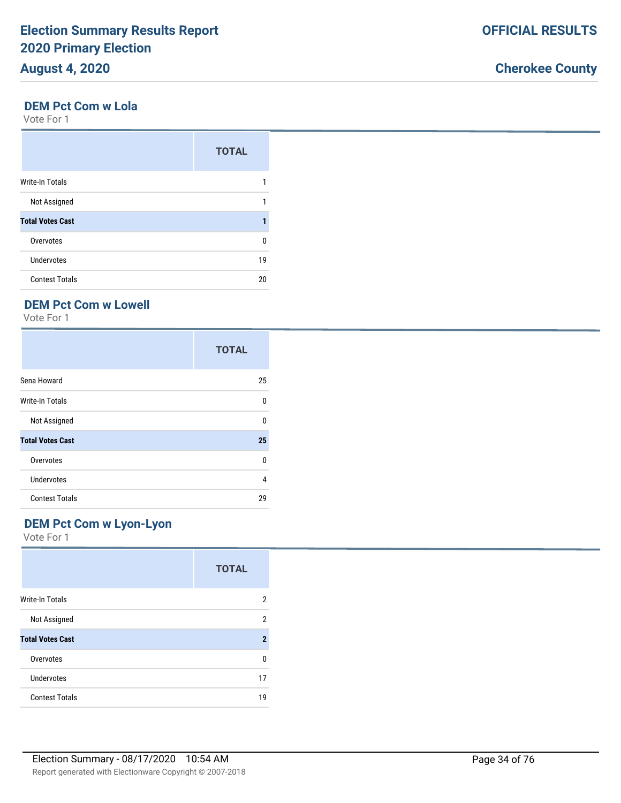#### **DEM Pct Com w Lola**

Vote For 1

|                         | <b>TOTAL</b> |
|-------------------------|--------------|
| <b>Write-In Totals</b>  |              |
| Not Assigned            |              |
| <b>Total Votes Cast</b> |              |
| Overvotes               | 0            |
| <b>Undervotes</b>       | 19           |
| <b>Contest Totals</b>   | 20           |

# **DEM Pct Com w Lowell**

Vote For 1

|                         | <b>TOTAL</b> |
|-------------------------|--------------|
| Sena Howard             | 25           |
| <b>Write-In Totals</b>  | 0            |
| Not Assigned            | 0            |
| <b>Total Votes Cast</b> | 25           |
| Overvotes               | 0            |
| <b>Undervotes</b>       | 4            |
| <b>Contest Totals</b>   | 29           |

## **DEM Pct Com w Lyon-Lyon**

|                         | <b>TOTAL</b> |
|-------------------------|--------------|
| <b>Write-In Totals</b>  | 2            |
| Not Assigned            | 2            |
| <b>Total Votes Cast</b> | $\mathbf 2$  |
| Overvotes               | n            |
| Undervotes              | 17           |
| <b>Contest Totals</b>   | 19           |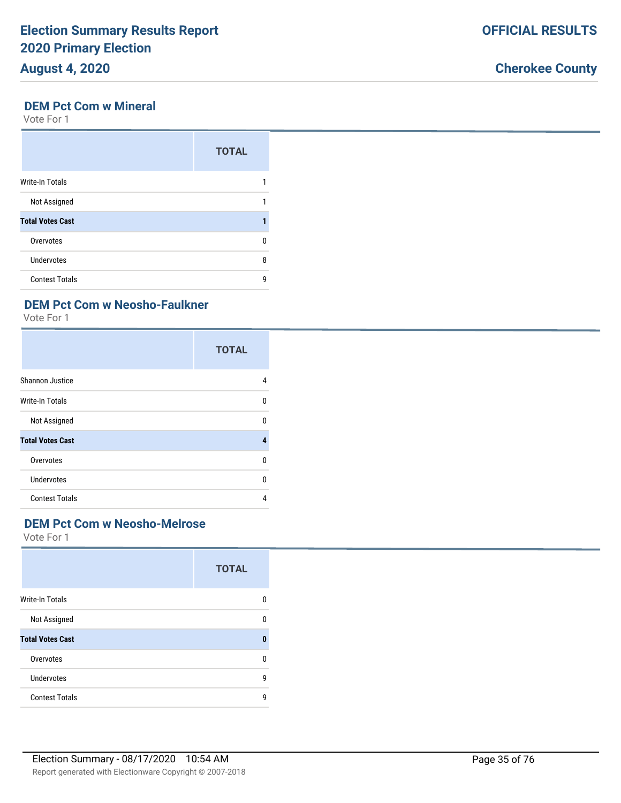#### **DEM Pct Com w Mineral**

Vote For 1

|                         | <b>TOTAL</b> |
|-------------------------|--------------|
| <b>Write-In Totals</b>  |              |
| Not Assigned            |              |
| <b>Total Votes Cast</b> |              |
| Overvotes               | U            |
| Undervotes              | 8            |
| <b>Contest Totals</b>   | g            |

# **DEM Pct Com w Neosho-Faulkner**

Vote For 1

|                         | <b>TOTAL</b> |
|-------------------------|--------------|
| Shannon Justice         | 4            |
| <b>Write-In Totals</b>  | $\Omega$     |
| Not Assigned            | 0            |
| <b>Total Votes Cast</b> | 4            |
| Overvotes               | $\Omega$     |
| Undervotes              | $\Omega$     |
| <b>Contest Totals</b>   | 4            |

## **DEM Pct Com w Neosho-Melrose**

|                         | <b>TOTAL</b> |
|-------------------------|--------------|
| <b>Write-In Totals</b>  | 0            |
| Not Assigned            | 0            |
| <b>Total Votes Cast</b> | 0            |
| Overvotes               | 0            |
| Undervotes              | 9            |
| <b>Contest Totals</b>   | g            |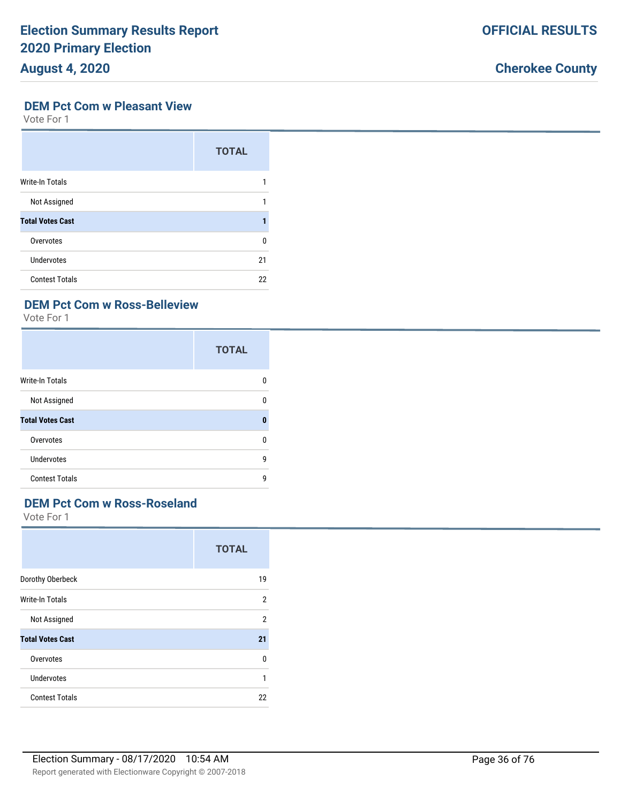# **August 4, 2020**

# **Cherokee County**

#### **DEM Pct Com w Pleasant View**

Vote For 1

|                         | <b>TOTAL</b> |
|-------------------------|--------------|
| <b>Write-In Totals</b>  |              |
| Not Assigned            |              |
| <b>Total Votes Cast</b> |              |
| Overvotes               | U            |
| Undervotes              | 21           |
| <b>Contest Totals</b>   | 22           |

## **DEM Pct Com w Ross-Belleview**

Vote For 1

|                         | <b>TOTAL</b> |
|-------------------------|--------------|
| Write-In Totals         | 0            |
| Not Assigned            | 0            |
| <b>Total Votes Cast</b> | $\bf{0}$     |
| Overvotes               | $\Omega$     |
| Undervotes              | 9            |
| <b>Contest Totals</b>   | 9            |

# **DEM Pct Com w Ross-Roseland**

|                         | <b>TOTAL</b>   |
|-------------------------|----------------|
| Dorothy Oberbeck        | 19             |
| <b>Write-In Totals</b>  | $\overline{2}$ |
| Not Assigned            | 2              |
| <b>Total Votes Cast</b> | 21             |
| Overvotes               | 0              |
| <b>Undervotes</b>       | 1              |
| <b>Contest Totals</b>   | 22             |
|                         |                |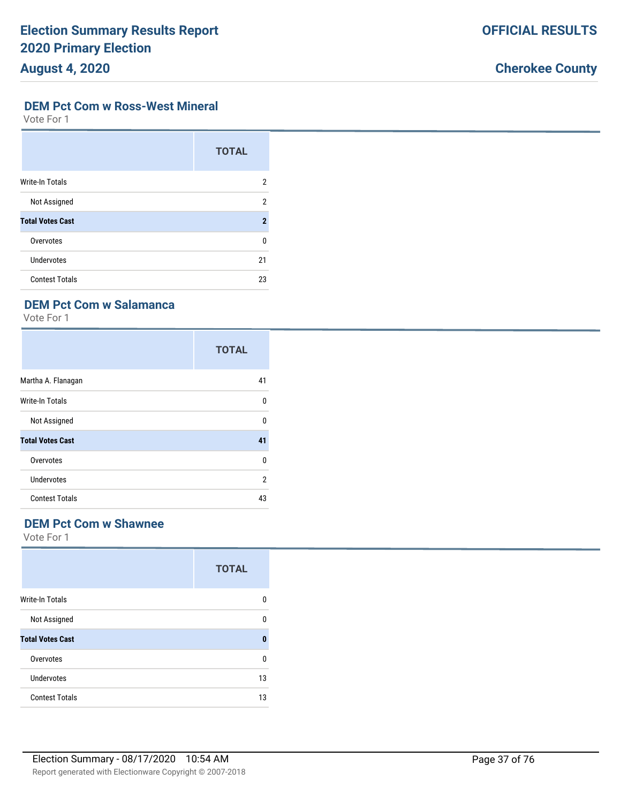#### **DEM Pct Com w Ross-West Mineral**

Vote For 1

|                         | <b>TOTAL</b>   |
|-------------------------|----------------|
| <b>Write-In Totals</b>  | 2              |
| Not Assigned            | 2              |
| <b>Total Votes Cast</b> | $\overline{2}$ |
| Overvotes               | 0              |
| Undervotes              | 21             |
| <b>Contest Totals</b>   | 23             |

### **DEM Pct Com w Salamanca**

Vote For 1

|                         | <b>TOTAL</b> |
|-------------------------|--------------|
| Martha A. Flanagan      | 41           |
| Write-In Totals         | 0            |
| Not Assigned            | 0            |
| <b>Total Votes Cast</b> | 41           |
| Overvotes               | 0            |
| <b>Undervotes</b>       | 2            |
| <b>Contest Totals</b>   | 43           |

#### **DEM Pct Com w Shawnee**

|                         | <b>TOTAL</b> |
|-------------------------|--------------|
| <b>Write-In Totals</b>  | O            |
| Not Assigned            | n            |
| <b>Total Votes Cast</b> | 0            |
| Overvotes               | n            |
| Undervotes              | 13           |
| <b>Contest Totals</b>   | 13           |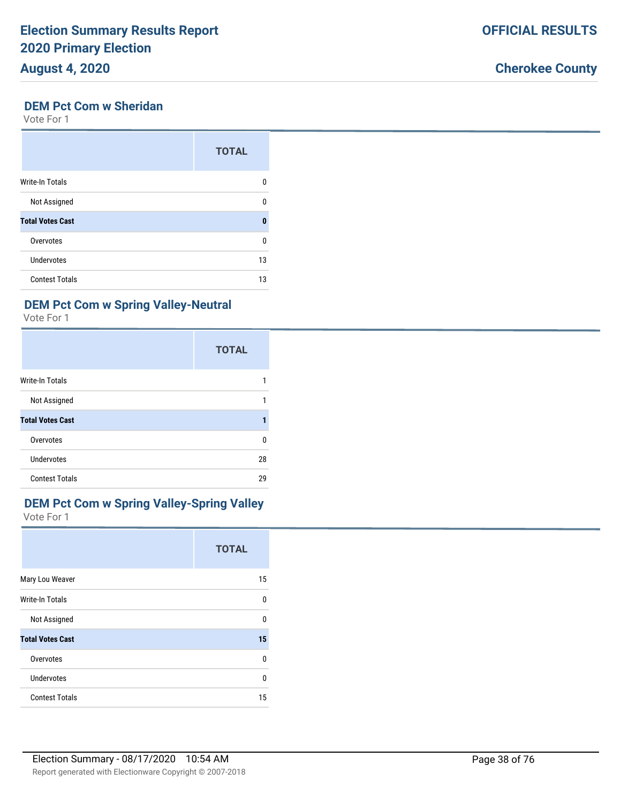### **DEM Pct Com w Sheridan**

Vote For 1

|                         | <b>TOTAL</b> |
|-------------------------|--------------|
| Write-In Totals         | n            |
| Not Assigned            | n            |
| <b>Total Votes Cast</b> | O            |
| Overvotes               | 0            |
| Undervotes              | 13           |
| <b>Contest Totals</b>   | 13           |

#### **DEM Pct Com w Spring Valley-Neutral**

Vote For 1

|                         | <b>TOTAL</b> |
|-------------------------|--------------|
| <b>Write-In Totals</b>  |              |
| Not Assigned            | 1            |
| <b>Total Votes Cast</b> |              |
| Overvotes               | 0            |
| Undervotes              | 28           |
| <b>Contest Totals</b>   | 29           |

#### **DEM Pct Com w Spring Valley-Spring Valley** Vote For 1

|                         | <b>TOTAL</b> |
|-------------------------|--------------|
| Mary Lou Weaver         | 15           |
| Write-In Totals         | 0            |
| Not Assigned            | 0            |
| <b>Total Votes Cast</b> | 15           |
| Overvotes               | 0            |
| <b>Undervotes</b>       | 0            |
| <b>Contest Totals</b>   | 15           |

### **Cherokee County**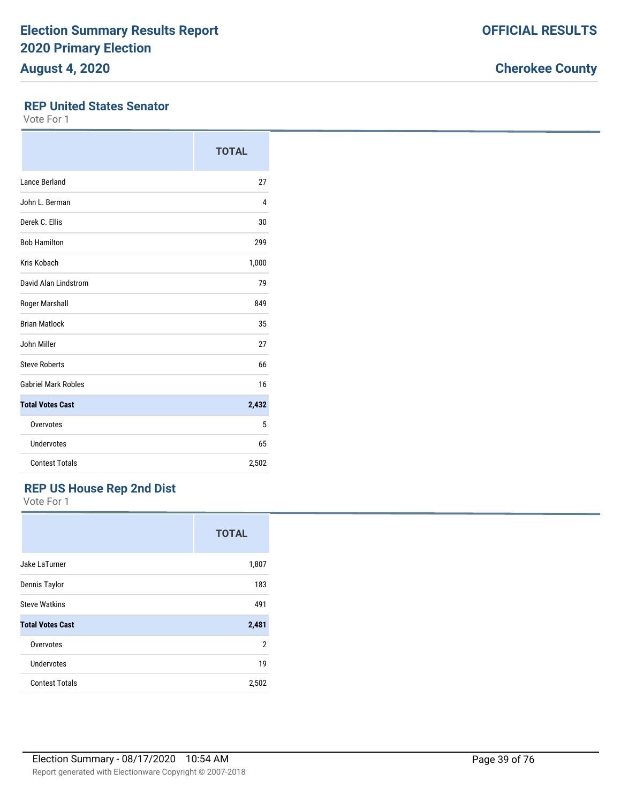#### **REP United States Senator**

Vote For 1

|                            | <b>TOTAL</b> |
|----------------------------|--------------|
| Lance Berland              | 27           |
| John L. Berman             | 4            |
| Derek C. Ellis             | 30           |
| <b>Bob Hamilton</b>        | 299          |
| Kris Kobach                | 1,000        |
| David Alan Lindstrom       | 79           |
| Roger Marshall             | 849          |
| <b>Brian Matlock</b>       | 35           |
| John Miller                | 27           |
| <b>Steve Roberts</b>       | 66           |
| <b>Gabriel Mark Robles</b> | 16           |
| <b>Total Votes Cast</b>    | 2,432        |
| Overvotes                  | 5            |
| <b>Undervotes</b>          | 65           |
| <b>Contest Totals</b>      | 2,502        |

## **REP US House Rep 2nd Dist**

|                         | <b>TOTAL</b> |
|-------------------------|--------------|
| Jake LaTurner           | 1,807        |
| Dennis Taylor           | 183          |
| <b>Steve Watkins</b>    | 491          |
| <b>Total Votes Cast</b> | 2,481        |
| Overvotes               | 2            |
| Undervotes              | 19           |
| <b>Contest Totals</b>   | 2,502        |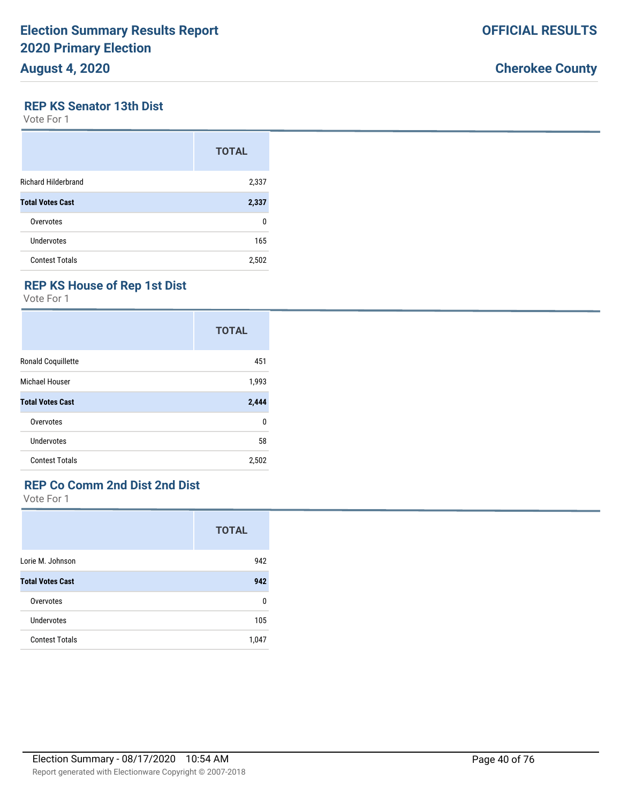#### **REP KS Senator 13th Dist**

Vote For 1

|                            | <b>TOTAL</b> |
|----------------------------|--------------|
| <b>Richard Hilderbrand</b> | 2,337        |
| <b>Total Votes Cast</b>    | 2,337        |
| Overvotes                  | 0            |
| Undervotes                 | 165          |
| <b>Contest Totals</b>      | 2,502        |

### **REP KS House of Rep 1st Dist**

Vote For 1

|                         | <b>TOTAL</b> |
|-------------------------|--------------|
| Ronald Coquillette      | 451          |
| Michael Houser          | 1,993        |
| <b>Total Votes Cast</b> | 2,444        |
| Overvotes               | 0            |
| Undervotes              | 58           |
| <b>Contest Totals</b>   | 2,502        |

#### **REP Co Comm 2nd Dist 2nd Dist**

|                         | <b>TOTAL</b> |
|-------------------------|--------------|
| Lorie M. Johnson        | 942          |
| <b>Total Votes Cast</b> | 942          |
| Overvotes               | 0            |
| Undervotes              | 105          |
| <b>Contest Totals</b>   | 1,047        |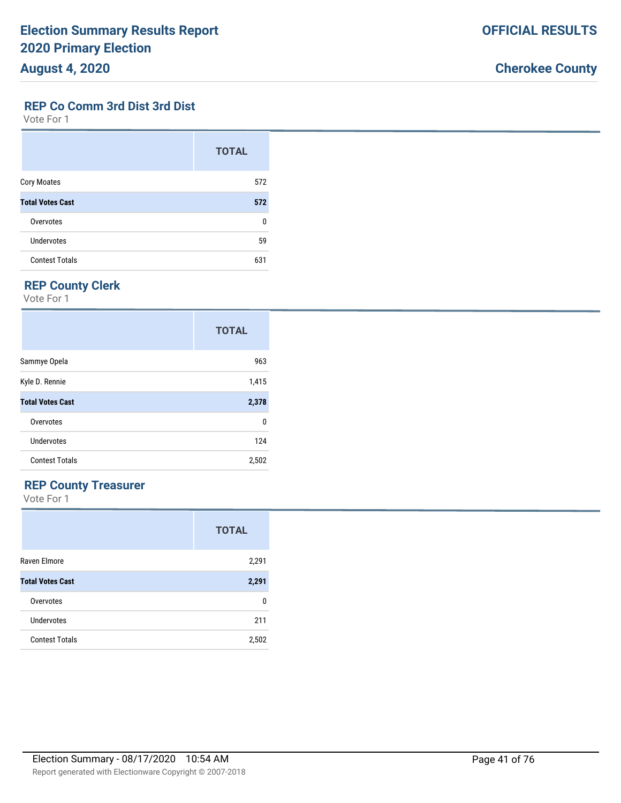#### **REP Co Comm 3rd Dist 3rd Dist**

Vote For 1

|                         | <b>TOTAL</b> |
|-------------------------|--------------|
| <b>Cory Moates</b>      | 572          |
| <b>Total Votes Cast</b> | 572          |
| Overvotes               | U            |
| <b>Undervotes</b>       | 59           |
| <b>Contest Totals</b>   | 631          |

#### **REP County Clerk**

Vote For 1

|                         | <b>TOTAL</b> |
|-------------------------|--------------|
| Sammye Opela            | 963          |
| Kyle D. Rennie          | 1,415        |
| <b>Total Votes Cast</b> | 2,378        |
| Overvotes               | 0            |
| Undervotes              | 124          |
| <b>Contest Totals</b>   | 2,502        |

#### **REP County Treasurer**

|                         | <b>TOTAL</b> |
|-------------------------|--------------|
| Raven Elmore            | 2,291        |
| <b>Total Votes Cast</b> | 2,291        |
| Overvotes               | 0            |
| Undervotes              | 211          |
| <b>Contest Totals</b>   | 2,502        |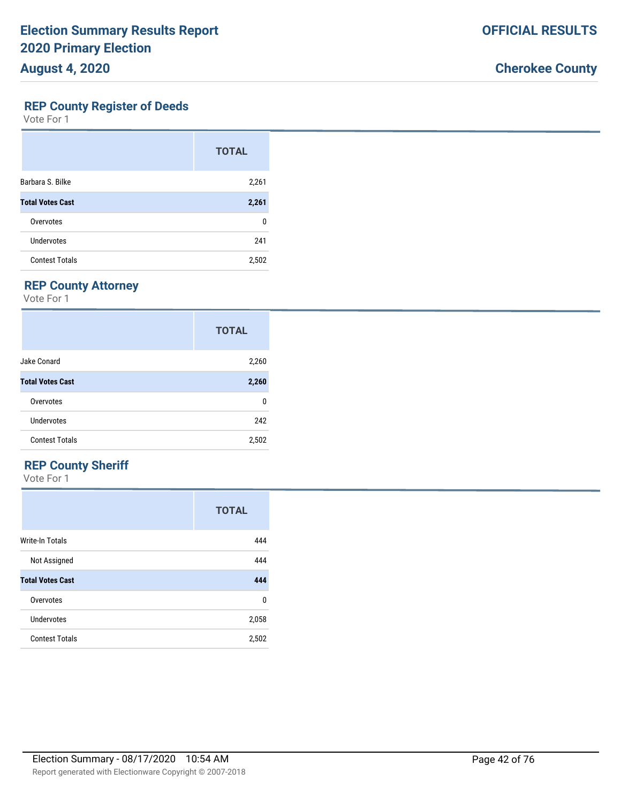#### **REP County Register of Deeds**

Vote For 1

|                         | <b>TOTAL</b> |
|-------------------------|--------------|
| Barbara S. Bilke        | 2,261        |
| <b>Total Votes Cast</b> | 2,261        |
| Overvotes               | n            |
| Undervotes              | 241          |
| <b>Contest Totals</b>   | 2,502        |

### **REP County Attorney**

Vote For 1

|                         | <b>TOTAL</b> |
|-------------------------|--------------|
| Jake Conard             | 2,260        |
| <b>Total Votes Cast</b> | 2,260        |
| Overvotes               | 0            |
| Undervotes              | 242          |
| <b>Contest Totals</b>   | 2,502        |

### **REP County Sheriff**

|                         | <b>TOTAL</b> |
|-------------------------|--------------|
| <b>Write-In Totals</b>  | 444          |
| Not Assigned            | 444          |
| <b>Total Votes Cast</b> | 444          |
| Overvotes               | 0            |
| Undervotes              | 2,058        |
| <b>Contest Totals</b>   | 2,502        |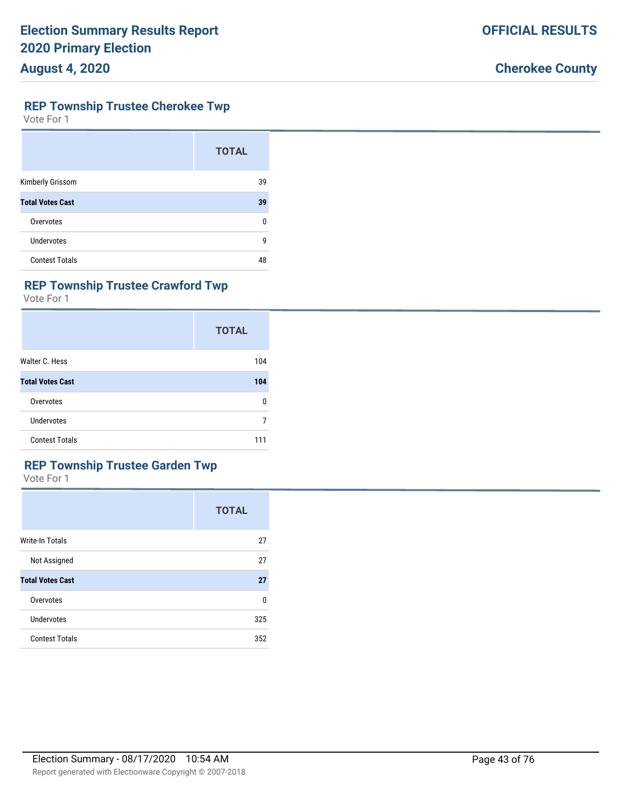#### **REP Township Trustee Cherokee Twp**

Vote For 1

|                         | <b>TOTAL</b> |
|-------------------------|--------------|
| Kimberly Grissom        | 39           |
| <b>Total Votes Cast</b> | 39           |
| Overvotes               | 0            |
| Undervotes              | 9            |
| <b>Contest Totals</b>   | 48           |

### **REP Township Trustee Crawford Twp**

Vote For 1

|                         | <b>TOTAL</b> |
|-------------------------|--------------|
| Walter C. Hess          | 104          |
| <b>Total Votes Cast</b> | 104          |
| Overvotes               | 0            |
| Undervotes              | 7            |
| <b>Contest Totals</b>   | 111          |

### **REP Township Trustee Garden Twp**

|                         | <b>TOTAL</b> |
|-------------------------|--------------|
| Write-In Totals         | 27           |
| Not Assigned            | 27           |
| <b>Total Votes Cast</b> | 27           |
| Overvotes               | 0            |
| Undervotes              | 325          |
| <b>Contest Totals</b>   | 352          |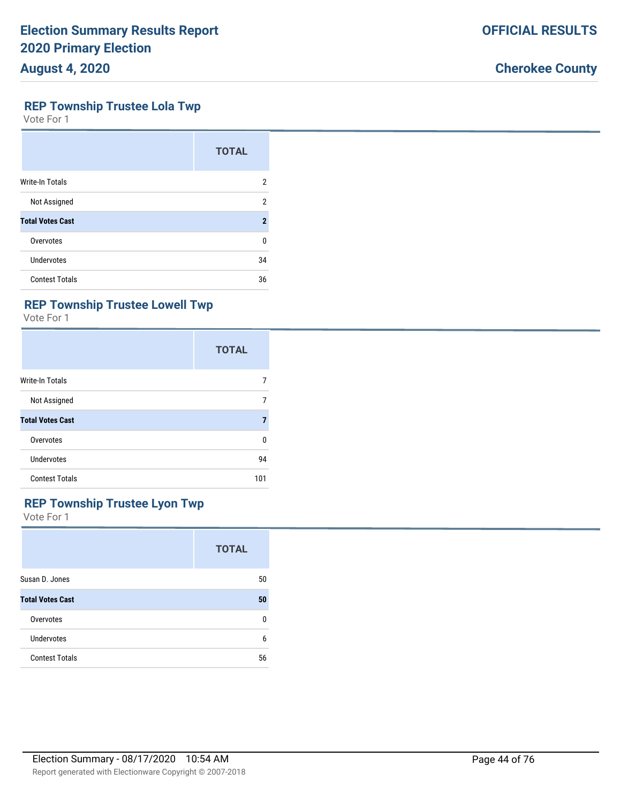#### **REP Township Trustee Lola Twp**

Vote For 1

|                         | <b>TOTAL</b>   |
|-------------------------|----------------|
| Write-In Totals         | 2              |
| Not Assigned            | $\overline{2}$ |
| <b>Total Votes Cast</b> | $\overline{2}$ |
| Overvotes               | 0              |
| Undervotes              | 34             |
| <b>Contest Totals</b>   | 36             |

### **REP Township Trustee Lowell Twp**

Vote For 1

|                         | <b>TOTAL</b> |
|-------------------------|--------------|
| <b>Write-In Totals</b>  |              |
| Not Assigned            |              |
| <b>Total Votes Cast</b> |              |
| Overvotes               | n            |
| Undervotes              | 94           |
| <b>Contest Totals</b>   | 101          |

## **REP Township Trustee Lyon Twp**

|                         | <b>TOTAL</b> |
|-------------------------|--------------|
| Susan D. Jones          | 50           |
| <b>Total Votes Cast</b> | 50           |
| Overvotes               | n            |
| Undervotes              | 6            |
| <b>Contest Totals</b>   | 56           |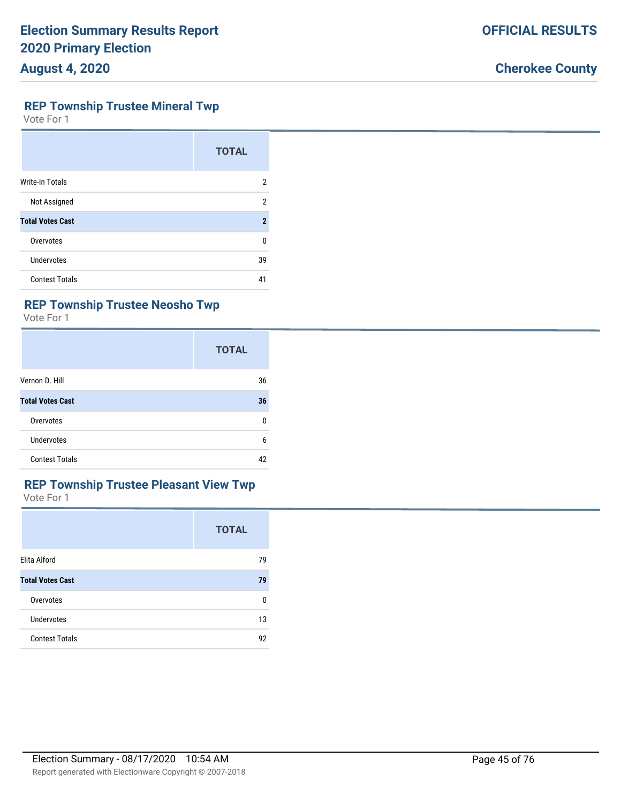#### **REP Township Trustee Mineral Twp**

Vote For 1

|                         | <b>TOTAL</b>   |
|-------------------------|----------------|
| Write-In Totals         | 2              |
| Not Assigned            | 2              |
| <b>Total Votes Cast</b> | $\overline{2}$ |
| Overvotes               | ŋ              |
| Undervotes              | 39             |
| <b>Contest Totals</b>   | 41             |

### **REP Township Trustee Neosho Twp**

Vote For 1

|                         | <b>TOTAL</b> |
|-------------------------|--------------|
| Vernon D. Hill          | 36           |
| <b>Total Votes Cast</b> | 36           |
| Overvotes               | 0            |
| <b>Undervotes</b>       | 6            |
| <b>Contest Totals</b>   | 42           |

# **REP Township Trustee Pleasant View Twp**

|                         | <b>TOTAL</b> |
|-------------------------|--------------|
| Elita Alford            | 79           |
| <b>Total Votes Cast</b> | 79           |
| Overvotes               | n            |
| <b>Undervotes</b>       | 13           |
| <b>Contest Totals</b>   | 92           |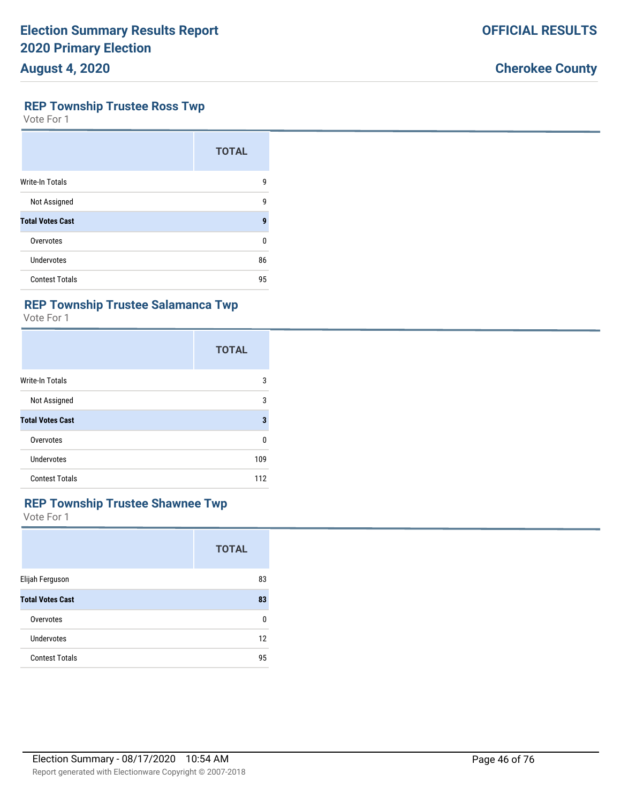#### **REP Township Trustee Ross Twp**

Vote For 1

|                         | <b>TOTAL</b> |
|-------------------------|--------------|
| <b>Write-In Totals</b>  | 9            |
| Not Assigned            | 9            |
| <b>Total Votes Cast</b> | 9            |
| Overvotes               | U            |
| Undervotes              | 86           |
| <b>Contest Totals</b>   | 95           |

#### **REP Township Trustee Salamanca Twp**

Vote For 1

|                         | <b>TOTAL</b> |
|-------------------------|--------------|
| <b>Write-In Totals</b>  | 3            |
| Not Assigned            | 3            |
| <b>Total Votes Cast</b> | 3            |
| Overvotes               | U            |
| Undervotes              | 109          |
| <b>Contest Totals</b>   | 112          |

### **REP Township Trustee Shawnee Twp**

|                         | <b>TOTAL</b> |
|-------------------------|--------------|
| Elijah Ferguson         | 83           |
| <b>Total Votes Cast</b> | 83           |
| Overvotes               | 0            |
| Undervotes              | 12           |
| <b>Contest Totals</b>   | 95           |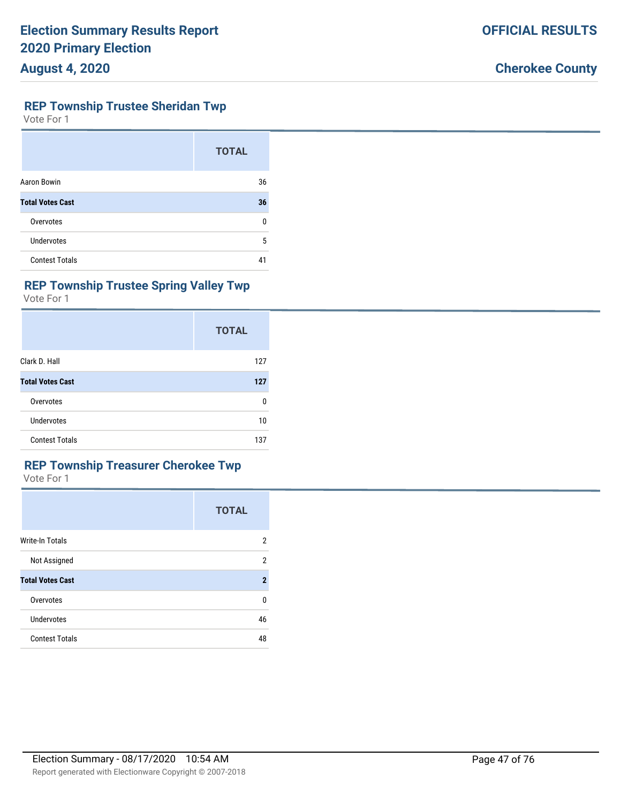#### **REP Township Trustee Sheridan Twp**

Vote For 1

|                         | <b>TOTAL</b> |
|-------------------------|--------------|
| Aaron Bowin             | 36           |
| <b>Total Votes Cast</b> | 36           |
| Overvotes               | 0            |
| <b>Undervotes</b>       | 5            |
| <b>Contest Totals</b>   | 41           |

### **REP Township Trustee Spring Valley Twp**

Vote For 1

|                         | <b>TOTAL</b> |
|-------------------------|--------------|
| Clark D. Hall           | 127          |
| <b>Total Votes Cast</b> | 127          |
| Overvotes               | 0            |
| Undervotes              | 10           |
| <b>Contest Totals</b>   | 137          |

### **REP Township Treasurer Cherokee Twp**

|                         | <b>TOTAL</b> |
|-------------------------|--------------|
| <b>Write-In Totals</b>  | 2            |
| Not Assigned            | 2            |
| <b>Total Votes Cast</b> | $\mathbf{2}$ |
| Overvotes               | 0            |
| Undervotes              | 46           |
| <b>Contest Totals</b>   | 48           |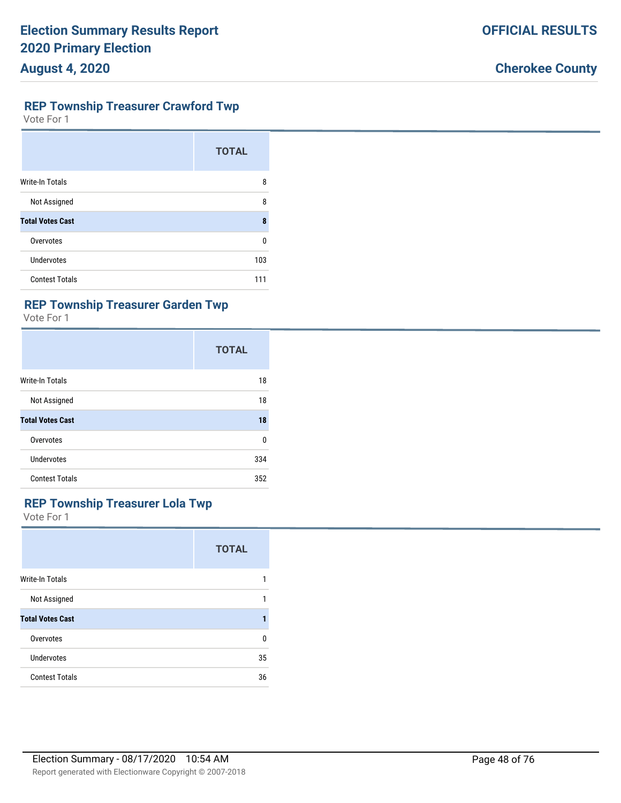### **REP Township Treasurer Crawford Twp**

Vote For 1

|                         | <b>TOTAL</b> |
|-------------------------|--------------|
| <b>Write-In Totals</b>  | 8            |
| Not Assigned            | 8            |
| <b>Total Votes Cast</b> | 8            |
| Overvotes               | U            |
| <b>Undervotes</b>       | 103          |
| <b>Contest Totals</b>   | 111          |

## **REP Township Treasurer Garden Twp**

Vote For 1

|                         | <b>TOTAL</b> |
|-------------------------|--------------|
| <b>Write-In Totals</b>  | 18           |
| Not Assigned            | 18           |
| <b>Total Votes Cast</b> | 18           |
| Overvotes               | 0            |
| Undervotes              | 334          |
| <b>Contest Totals</b>   | 352          |

## **REP Township Treasurer Lola Twp**

|                         | <b>TOTAL</b> |
|-------------------------|--------------|
| <b>Write-In Totals</b>  |              |
| Not Assigned            |              |
| <b>Total Votes Cast</b> |              |
| Overvotes               | 0            |
| Undervotes              | 35           |
| <b>Contest Totals</b>   | 36           |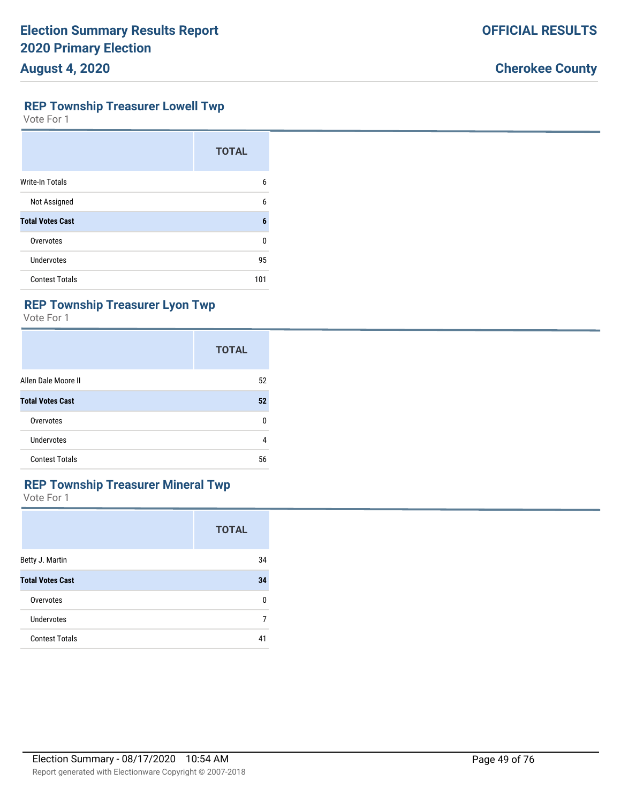#### **REP Township Treasurer Lowell Twp**

Vote For 1

|                         | <b>TOTAL</b> |
|-------------------------|--------------|
| <b>Write-In Totals</b>  | 6            |
| Not Assigned            | 6            |
| <b>Total Votes Cast</b> | 6            |
| Overvotes               | U            |
| Undervotes              | 95           |
| <b>Contest Totals</b>   | 101          |

### **REP Township Treasurer Lyon Twp**

Vote For 1

|                         | <b>TOTAL</b> |
|-------------------------|--------------|
| Allen Dale Moore II     | 52           |
| <b>Total Votes Cast</b> | 52           |
| Overvotes               | 0            |
| Undervotes              | 4            |
| <b>Contest Totals</b>   | 56           |

#### **REP Township Treasurer Mineral Twp**

|                         | <b>TOTAL</b> |
|-------------------------|--------------|
| Betty J. Martin         | 34           |
| <b>Total Votes Cast</b> | 34           |
| Overvotes               | 0            |
| Undervotes              | 7            |
| <b>Contest Totals</b>   | 41           |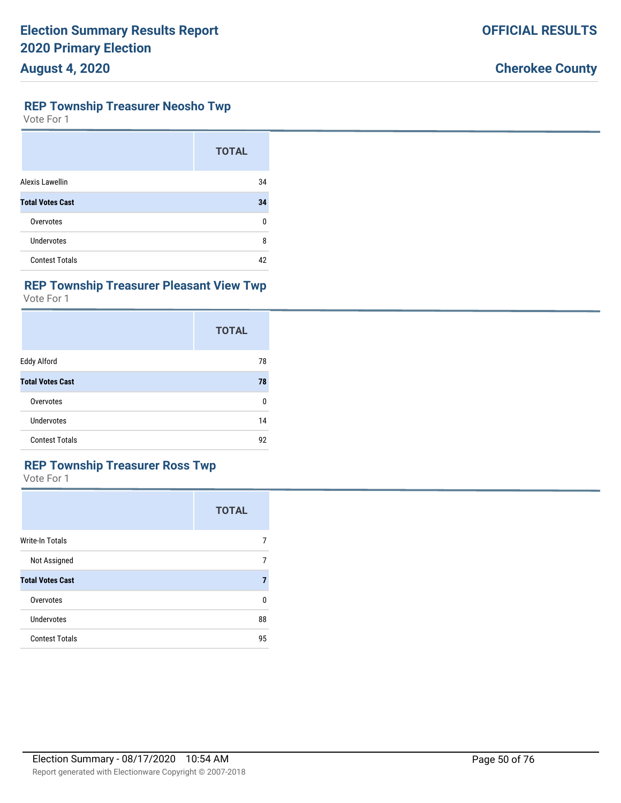#### **REP Township Treasurer Neosho Twp**

Vote For 1

|                         | <b>TOTAL</b> |
|-------------------------|--------------|
| Alexis Lawellin         | 34           |
| <b>Total Votes Cast</b> | 34           |
| Overvotes               | 0            |
| Undervotes              | 8            |
| <b>Contest Totals</b>   | 42           |

### **REP Township Treasurer Pleasant View Twp**

Vote For 1

|                         | <b>TOTAL</b> |
|-------------------------|--------------|
| Eddy Alford             | 78           |
| <b>Total Votes Cast</b> | 78           |
| Overvotes               | 0            |
| Undervotes              | 14           |
| <b>Contest Totals</b>   | 92           |

### **REP Township Treasurer Ross Twp**

|                         | <b>TOTAL</b> |
|-------------------------|--------------|
| <b>Write-In Totals</b>  | 7            |
| Not Assigned            | 7            |
| <b>Total Votes Cast</b> | 7            |
| Overvotes               | 0            |
| Undervotes              | 88           |
| <b>Contest Totals</b>   | 95           |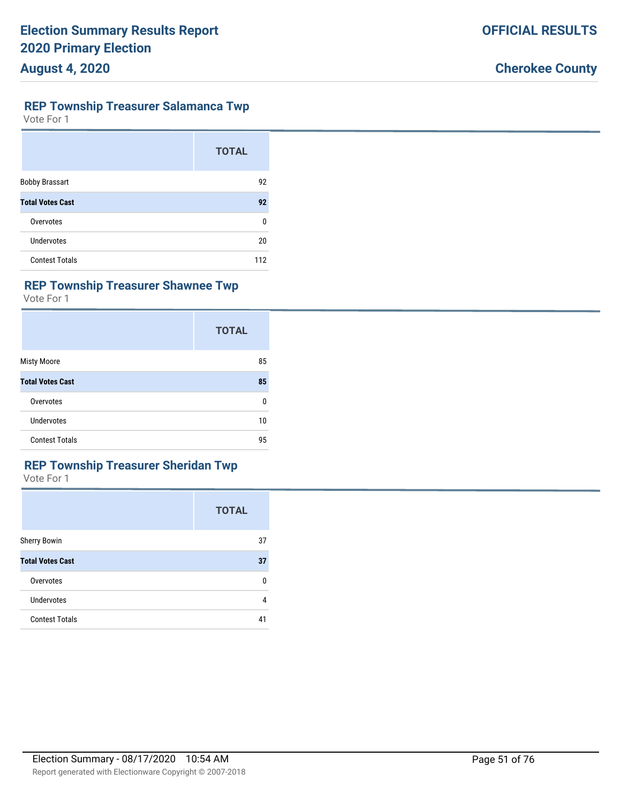### **REP Township Treasurer Salamanca Twp**

Vote For 1

|                         | <b>TOTAL</b> |
|-------------------------|--------------|
| <b>Bobby Brassart</b>   | 92           |
| <b>Total Votes Cast</b> | 92           |
| Overvotes               | 0            |
| Undervotes              | 20           |
| <b>Contest Totals</b>   | 112          |

## **REP Township Treasurer Shawnee Twp**

Vote For 1

|                         | <b>TOTAL</b> |
|-------------------------|--------------|
| <b>Misty Moore</b>      | 85           |
| <b>Total Votes Cast</b> | 85           |
| Overvotes               | 0            |
| Undervotes              | 10           |
| <b>Contest Totals</b>   | 95           |

### **REP Township Treasurer Sheridan Twp**

|                         | <b>TOTAL</b> |
|-------------------------|--------------|
| <b>Sherry Bowin</b>     | 37           |
| <b>Total Votes Cast</b> | 37           |
| Overvotes               | 0            |
| Undervotes              | 4            |
| <b>Contest Totals</b>   | 41           |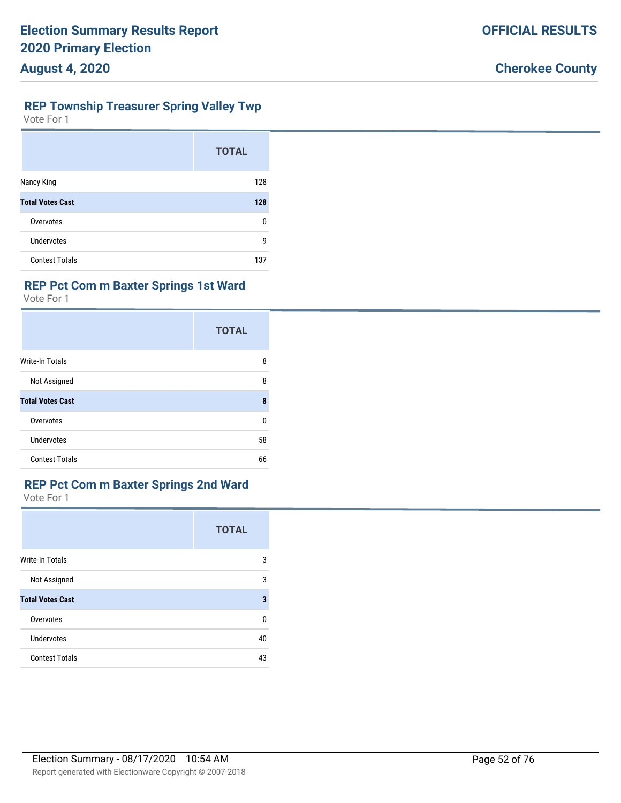#### **REP Township Treasurer Spring Valley Twp**

Vote For 1

|                         | <b>TOTAL</b> |
|-------------------------|--------------|
| Nancy King              | 128          |
| <b>Total Votes Cast</b> | 128          |
| Overvotes               | 0            |
| Undervotes              | g            |
| <b>Contest Totals</b>   | 137          |

### **REP Pct Com m Baxter Springs 1st Ward**

Vote For 1

|                         | <b>TOTAL</b> |
|-------------------------|--------------|
| <b>Write-In Totals</b>  | 8            |
| Not Assigned            | 8            |
| <b>Total Votes Cast</b> | 8            |
| Overvotes               | 0            |
| Undervotes              | 58           |
| <b>Contest Totals</b>   | 66           |

#### **REP Pct Com m Baxter Springs 2nd Ward**

|                         | <b>TOTAL</b> |
|-------------------------|--------------|
| Write-In Totals         | 3            |
| Not Assigned            | 3            |
| <b>Total Votes Cast</b> | 3            |
| Overvotes               | 0            |
| <b>Undervotes</b>       | 40           |
| <b>Contest Totals</b>   | 43           |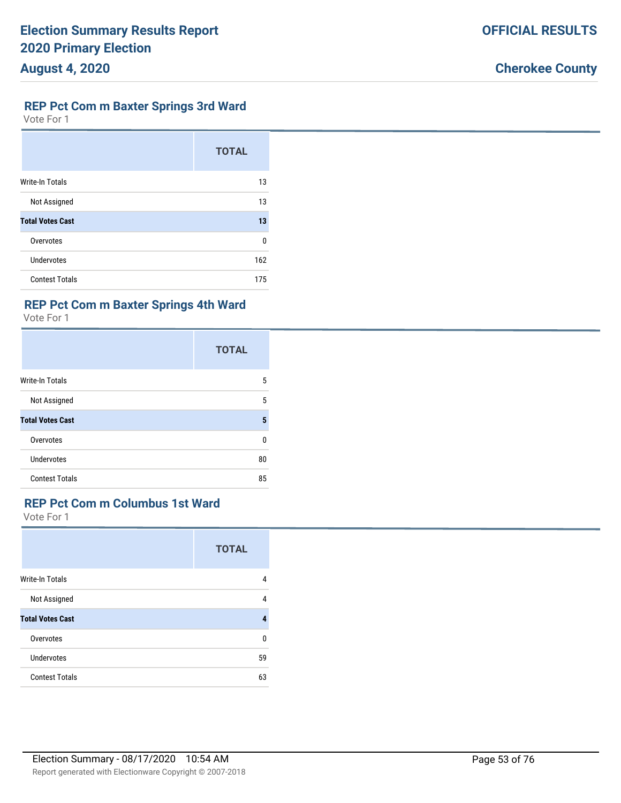#### **REP Pct Com m Baxter Springs 3rd Ward**

Vote For 1

|                         | <b>TOTAL</b> |
|-------------------------|--------------|
| <b>Write-In Totals</b>  | 13           |
| Not Assigned            | 13           |
| <b>Total Votes Cast</b> | 13           |
| Overvotes               | $\Omega$     |
| Undervotes              | 162          |
| <b>Contest Totals</b>   | 175          |

## **REP Pct Com m Baxter Springs 4th Ward**

Vote For 1

|                         | <b>TOTAL</b> |
|-------------------------|--------------|
| Write-In Totals         | 5            |
| Not Assigned            | 5            |
| <b>Total Votes Cast</b> | 5            |
| Overvotes               | U            |
| <b>Undervotes</b>       | 80           |
| <b>Contest Totals</b>   | 85           |

## **REP Pct Com m Columbus 1st Ward**

|                         | <b>TOTAL</b> |
|-------------------------|--------------|
| <b>Write-In Totals</b>  | 4            |
| Not Assigned            | 4            |
| <b>Total Votes Cast</b> | 4            |
| Overvotes               | $\Omega$     |
| Undervotes              | 59           |
| <b>Contest Totals</b>   | 63           |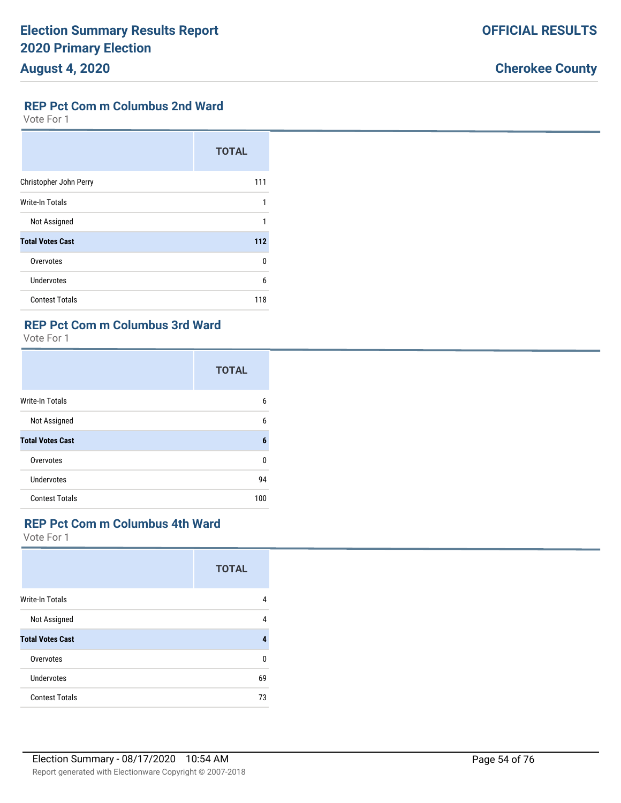### **REP Pct Com m Columbus 2nd Ward**

Vote For 1

|                         | <b>TOTAL</b> |
|-------------------------|--------------|
| Christopher John Perry  | 111          |
| Write-In Totals         | 1            |
| Not Assigned            | 1            |
| <b>Total Votes Cast</b> | 112          |
| Overvotes               | U            |
| <b>Undervotes</b>       | 6            |
| <b>Contest Totals</b>   | 118          |

## **REP Pct Com m Columbus 3rd Ward**

Vote For 1

|                         | <b>TOTAL</b> |
|-------------------------|--------------|
| <b>Write-In Totals</b>  | 6            |
| Not Assigned            | 6            |
| <b>Total Votes Cast</b> | 6            |
| Overvotes               | <sup>0</sup> |
| Undervotes              | 94           |
| <b>Contest Totals</b>   | 100          |

#### **REP Pct Com m Columbus 4th Ward**

|                         | <b>TOTAL</b> |
|-------------------------|--------------|
| <b>Write-In Totals</b>  | 4            |
| Not Assigned            | 4            |
| <b>Total Votes Cast</b> | 4            |
| Overvotes               | <sup>0</sup> |
| Undervotes              | 69           |
| <b>Contest Totals</b>   | 73           |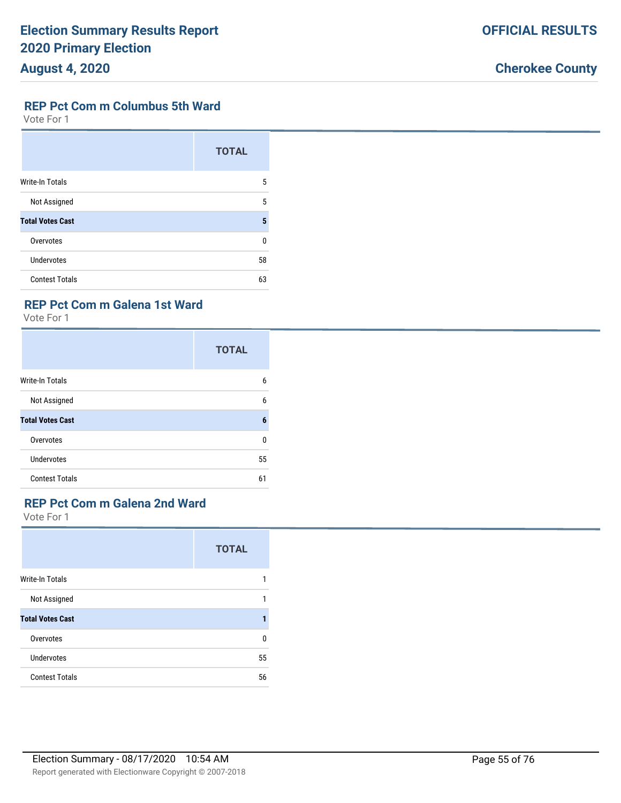#### **REP Pct Com m Columbus 5th Ward**

Vote For 1

|                         | <b>TOTAL</b> |
|-------------------------|--------------|
| <b>Write-In Totals</b>  | 5            |
| Not Assigned            | 5            |
| <b>Total Votes Cast</b> | 5            |
| Overvotes               | U            |
| Undervotes              | 58           |
| <b>Contest Totals</b>   | 63           |

#### **REP Pct Com m Galena 1st Ward**

Vote For 1

|                         | <b>TOTAL</b> |
|-------------------------|--------------|
| <b>Write-In Totals</b>  | 6            |
| Not Assigned            | 6            |
| <b>Total Votes Cast</b> | 6            |
| Overvotes               | 0            |
| Undervotes              | 55           |
| <b>Contest Totals</b>   | 61           |

## **REP Pct Com m Galena 2nd Ward**

|                         | <b>TOTAL</b> |
|-------------------------|--------------|
| <b>Write-In Totals</b>  | 1            |
| Not Assigned            | 1            |
| <b>Total Votes Cast</b> | 1            |
| Overvotes               | $\Omega$     |
| Undervotes              | 55           |
| <b>Contest Totals</b>   | 56           |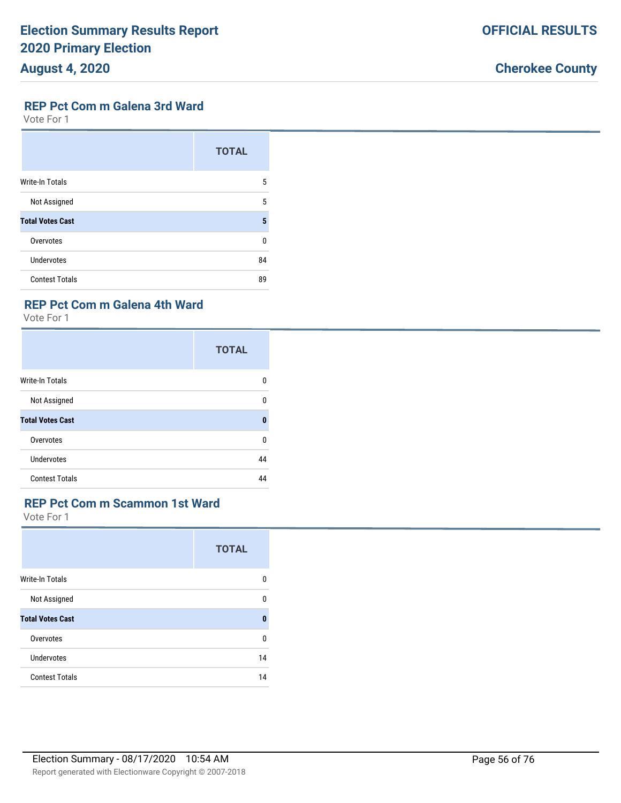#### **REP Pct Com m Galena 3rd Ward**

Vote For 1

|                         | <b>TOTAL</b> |
|-------------------------|--------------|
| <b>Write-In Totals</b>  | 5            |
| Not Assigned            | 5            |
| <b>Total Votes Cast</b> | 5            |
| Overvotes               | 0            |
| Undervotes              | 84           |
| <b>Contest Totals</b>   | 89           |

#### **REP Pct Com m Galena 4th Ward**

Vote For 1

|                         | <b>TOTAL</b> |
|-------------------------|--------------|
| Write-In Totals         | 0            |
| Not Assigned            | 0            |
| <b>Total Votes Cast</b> | $\mathbf{0}$ |
| Overvotes               | 0            |
| Undervotes              | 44           |
| <b>Contest Totals</b>   | 44           |

### **REP Pct Com m Scammon 1st Ward**

|                         | <b>TOTAL</b> |
|-------------------------|--------------|
| <b>Write-In Totals</b>  | 0            |
| Not Assigned            | 0            |
| <b>Total Votes Cast</b> | $\bf{0}$     |
| Overvotes               | $\Omega$     |
| Undervotes              | 14           |
| <b>Contest Totals</b>   | 14           |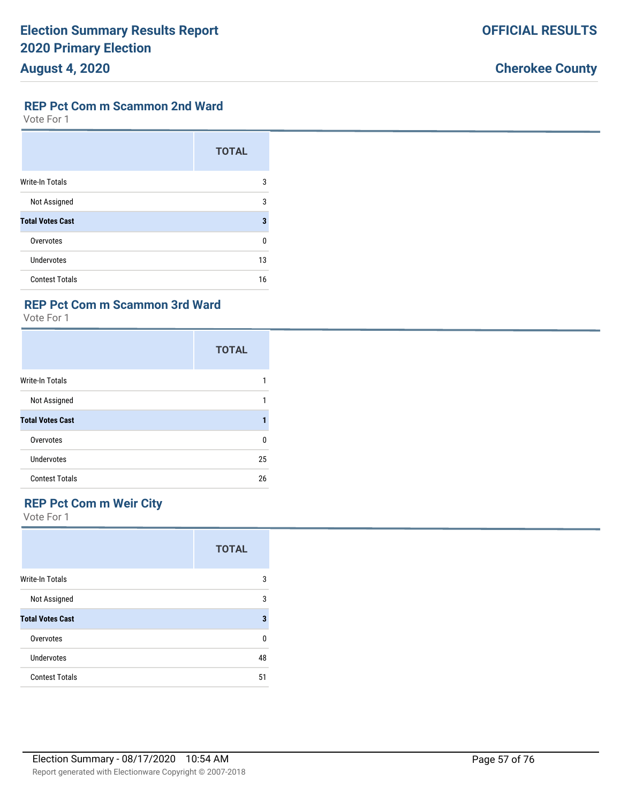#### **REP Pct Com m Scammon 2nd Ward**

Vote For 1

|                         | <b>TOTAL</b> |
|-------------------------|--------------|
| <b>Write-In Totals</b>  | 3            |
| Not Assigned            | 3            |
| <b>Total Votes Cast</b> | 3            |
| Overvotes               | U            |
| <b>Undervotes</b>       | 13           |
| <b>Contest Totals</b>   | 16           |

### **REP Pct Com m Scammon 3rd Ward**

Vote For 1

|                         | <b>TOTAL</b> |
|-------------------------|--------------|
| Write-In Totals         |              |
| Not Assigned            |              |
| <b>Total Votes Cast</b> |              |
| Overvotes               | $\Omega$     |
| Undervotes              | 25           |
| <b>Contest Totals</b>   | 26           |

## **REP Pct Com m Weir City**

|                         | <b>TOTAL</b> |
|-------------------------|--------------|
| <b>Write-In Totals</b>  | 3            |
| Not Assigned            | 3            |
| <b>Total Votes Cast</b> | 3            |
| Overvotes               | 0            |
| Undervotes              | 48           |
| <b>Contest Totals</b>   | 51           |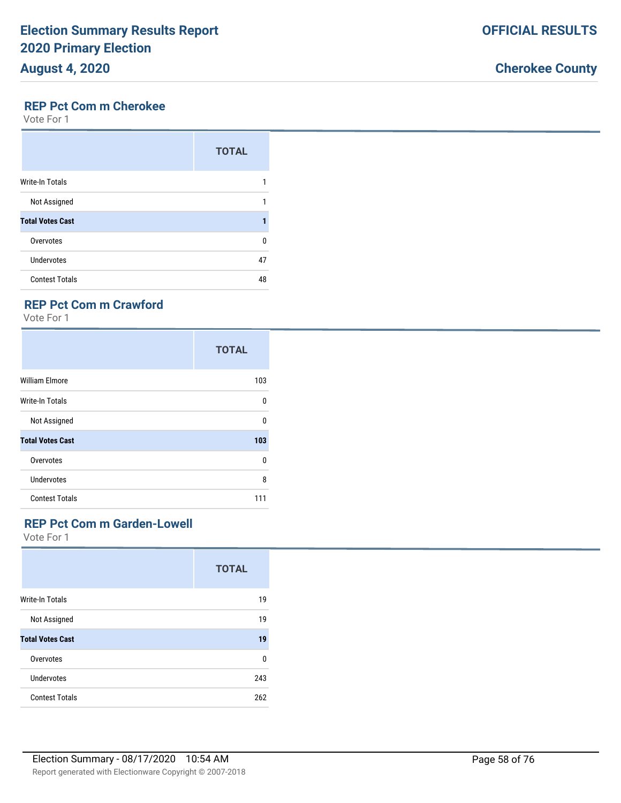### **REP Pct Com m Cherokee**

Vote For 1

|                         | <b>TOTAL</b> |
|-------------------------|--------------|
| <b>Write-In Totals</b>  |              |
| Not Assigned            |              |
| <b>Total Votes Cast</b> |              |
| Overvotes               | n            |
| Undervotes              | 47           |
| <b>Contest Totals</b>   | 48           |

### **REP Pct Com m Crawford**

Vote For 1

|                         | <b>TOTAL</b> |
|-------------------------|--------------|
| <b>William Elmore</b>   | 103          |
| Write-In Totals         | 0            |
| Not Assigned            | $\Omega$     |
| <b>Total Votes Cast</b> | 103          |
| Overvotes               | 0            |
| <b>Undervotes</b>       | 8            |
| <b>Contest Totals</b>   | 111          |

#### **REP Pct Com m Garden-Lowell**

|                         | <b>TOTAL</b> |
|-------------------------|--------------|
| <b>Write-In Totals</b>  | 19           |
| Not Assigned            | 19           |
| <b>Total Votes Cast</b> | 19           |
| Overvotes               | 0            |
| Undervotes              | 243          |
| <b>Contest Totals</b>   | 262          |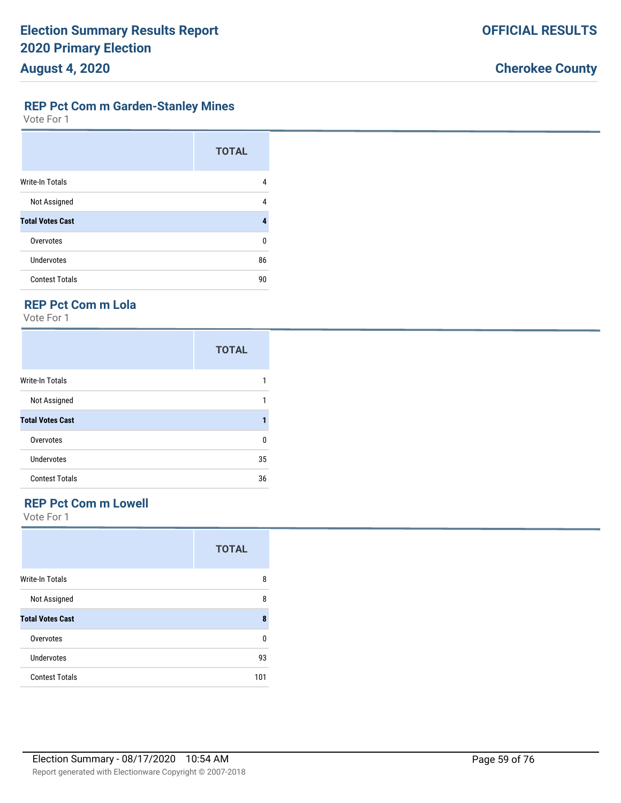|  | <b>Cherokee County</b> |
|--|------------------------|
|  |                        |

**OFFICIAL RESULTS**

#### **REP Pct Com m Garden-Stanley Mines**

Vote For 1

|                         | <b>TOTAL</b> |
|-------------------------|--------------|
| <b>Write-In Totals</b>  | 4            |
| Not Assigned            | 4            |
| <b>Total Votes Cast</b> | 4            |
| Overvotes               | 0            |
| Undervotes              | 86           |
| <b>Contest Totals</b>   | 90           |

### **REP Pct Com m Lola**

Vote For 1

|                         | <b>TOTAL</b> |
|-------------------------|--------------|
| Write-In Totals         |              |
| Not Assigned            | 1            |
| <b>Total Votes Cast</b> |              |
| Overvotes               | 0            |
| Undervotes              | 35           |
| <b>Contest Totals</b>   | 36           |

## **REP Pct Com m Lowell**

|                         | <b>TOTAL</b> |
|-------------------------|--------------|
| Write-In Totals         | 8            |
| Not Assigned            | 8            |
| <b>Total Votes Cast</b> | 8            |
| Overvotes               | 0            |
| Undervotes              | 93           |
| <b>Contest Totals</b>   | 101          |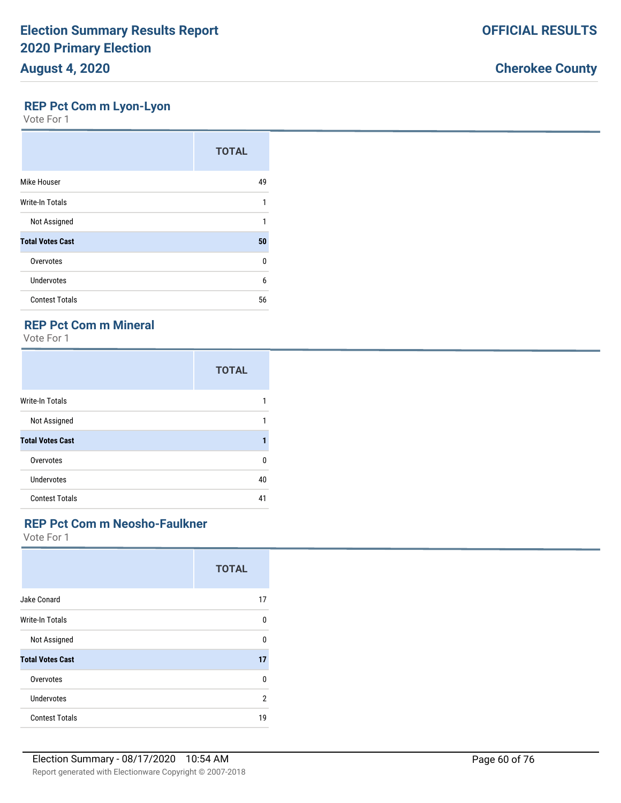### **REP Pct Com m Lyon-Lyon**

Vote For 1

|                         | <b>TOTAL</b> |
|-------------------------|--------------|
| Mike Houser             | 49           |
| <b>Write-In Totals</b>  | 1            |
| Not Assigned            | 1            |
| <b>Total Votes Cast</b> | 50           |
| Overvotes               | 0            |
| <b>Undervotes</b>       | 6            |
| <b>Contest Totals</b>   | 56           |

## **REP Pct Com m Mineral**

Vote For 1

|                         | <b>TOTAL</b> |
|-------------------------|--------------|
| <b>Write-In Totals</b>  |              |
| Not Assigned            | 1            |
| <b>Total Votes Cast</b> |              |
| Overvotes               | U            |
| Undervotes              | 40           |
| <b>Contest Totals</b>   | 41           |

### **REP Pct Com m Neosho-Faulkner**

|                         | <b>TOTAL</b> |
|-------------------------|--------------|
| Jake Conard             | 17           |
| <b>Write-In Totals</b>  | U            |
| Not Assigned            | 0            |
| <b>Total Votes Cast</b> | 17           |
| Overvotes               | 0            |
| Undervotes              | 2            |
| <b>Contest Totals</b>   | 19           |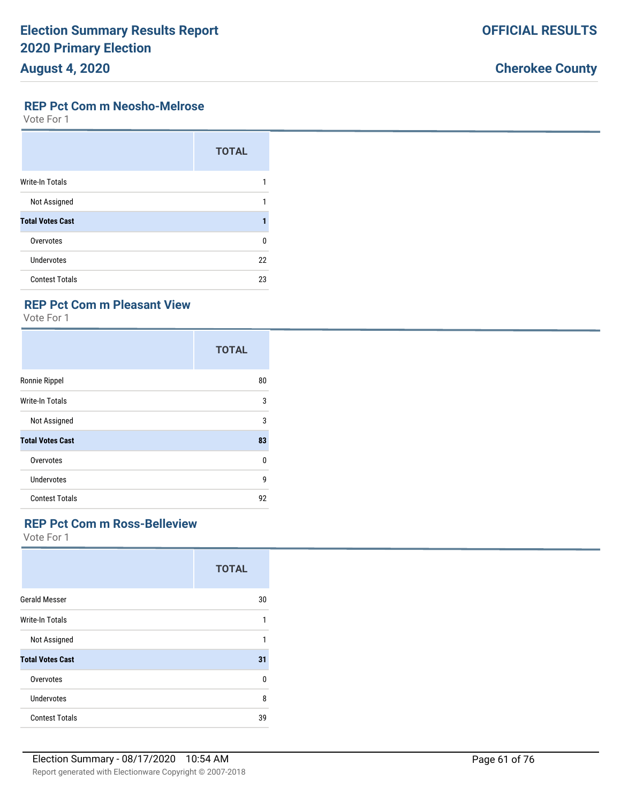#### **REP Pct Com m Neosho-Melrose**

Vote For 1

|                         | <b>TOTAL</b> |
|-------------------------|--------------|
| <b>Write-In Totals</b>  |              |
| Not Assigned            |              |
| <b>Total Votes Cast</b> |              |
| Overvotes               | 0            |
| <b>Undervotes</b>       | 22           |
| <b>Contest Totals</b>   | 23           |

### **REP Pct Com m Pleasant View**

Vote For 1

|                         | <b>TOTAL</b> |
|-------------------------|--------------|
| Ronnie Rippel           | 80           |
| <b>Write-In Totals</b>  | 3            |
| Not Assigned            | 3            |
| <b>Total Votes Cast</b> | 83           |
| Overvotes               | $\Omega$     |
| Undervotes              | 9            |
| <b>Contest Totals</b>   | 92           |

#### **REP Pct Com m Ross-Belleview**

|                         | <b>TOTAL</b> |
|-------------------------|--------------|
| <b>Gerald Messer</b>    | 30           |
| Write-In Totals         | 1            |
| Not Assigned            | 1            |
| <b>Total Votes Cast</b> | 31           |
| Overvotes               | $\Omega$     |
| <b>Undervotes</b>       | 8            |
| <b>Contest Totals</b>   | 39           |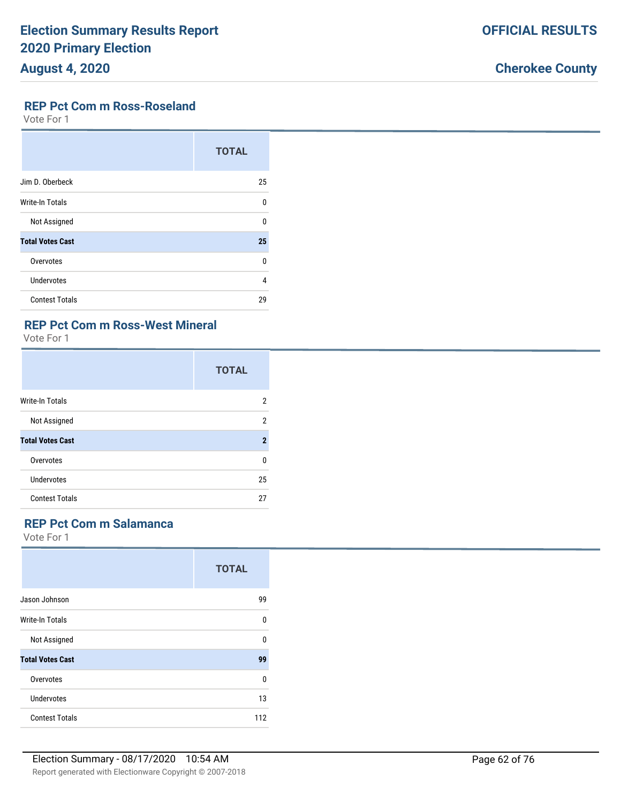#### **REP Pct Com m Ross-Roseland**

Vote For 1

|                         | <b>TOTAL</b> |
|-------------------------|--------------|
| Jim D. Oberbeck         | 25           |
| <b>Write-In Totals</b>  | U            |
| Not Assigned            | U            |
| <b>Total Votes Cast</b> | 25           |
| Overvotes               | U            |
| Undervotes              | 4            |
| <b>Contest Totals</b>   | 29           |

### **REP Pct Com m Ross-West Mineral**

Vote For 1

|                         | <b>TOTAL</b> |
|-------------------------|--------------|
| <b>Write-In Totals</b>  | 2            |
| Not Assigned            | 2            |
| <b>Total Votes Cast</b> | $\mathbf 2$  |
| Overvotes               | 0            |
| Undervotes              | 25           |
| <b>Contest Totals</b>   | 27           |

#### **REP Pct Com m Salamanca**

|                         | <b>TOTAL</b> |
|-------------------------|--------------|
| Jason Johnson           | 99           |
| Write-In Totals         | <sup>0</sup> |
| Not Assigned            | 0            |
| <b>Total Votes Cast</b> | 99           |
| Overvotes               | $\Omega$     |
| Undervotes              | 13           |
| <b>Contest Totals</b>   | 112          |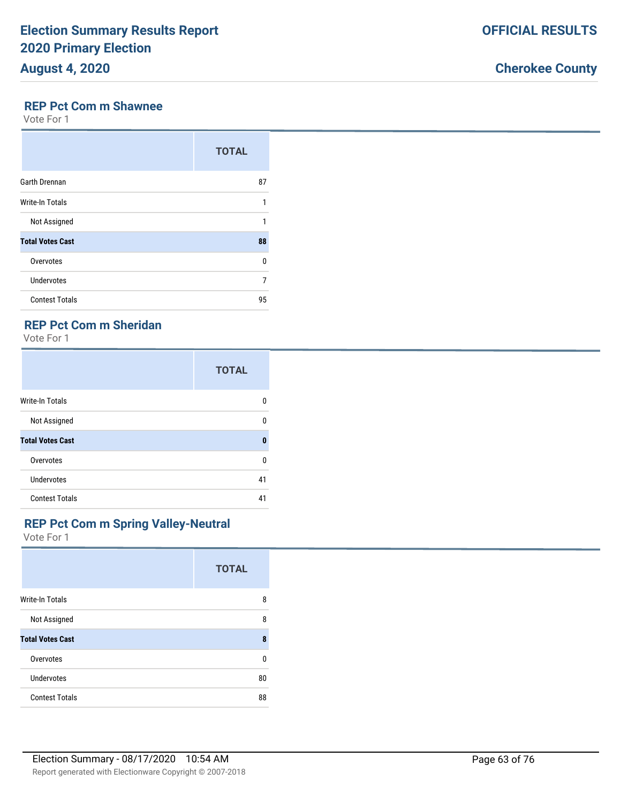#### **REP Pct Com m Shawnee**

Vote For 1

|                         | <b>TOTAL</b> |
|-------------------------|--------------|
| Garth Drennan           | 87           |
| Write-In Totals         | 1            |
| Not Assigned            | 1            |
| <b>Total Votes Cast</b> | 88           |
| Overvotes               | 0            |
| <b>Undervotes</b>       | 7            |
| <b>Contest Totals</b>   | 95           |

## **REP Pct Com m Sheridan**

Vote For 1

|                         | <b>TOTAL</b> |
|-------------------------|--------------|
| <b>Write-In Totals</b>  | 0            |
| Not Assigned            | 0            |
| <b>Total Votes Cast</b> | 0            |
| Overvotes               | 0            |
| Undervotes              | 41           |
| <b>Contest Totals</b>   | 41           |

#### **REP Pct Com m Spring Valley-Neutral**

|                         | <b>TOTAL</b> |
|-------------------------|--------------|
| <b>Write-In Totals</b>  | 8            |
| Not Assigned            | 8            |
| <b>Total Votes Cast</b> | 8            |
| Overvotes               | n            |
| Undervotes              | 80           |
| <b>Contest Totals</b>   | 88           |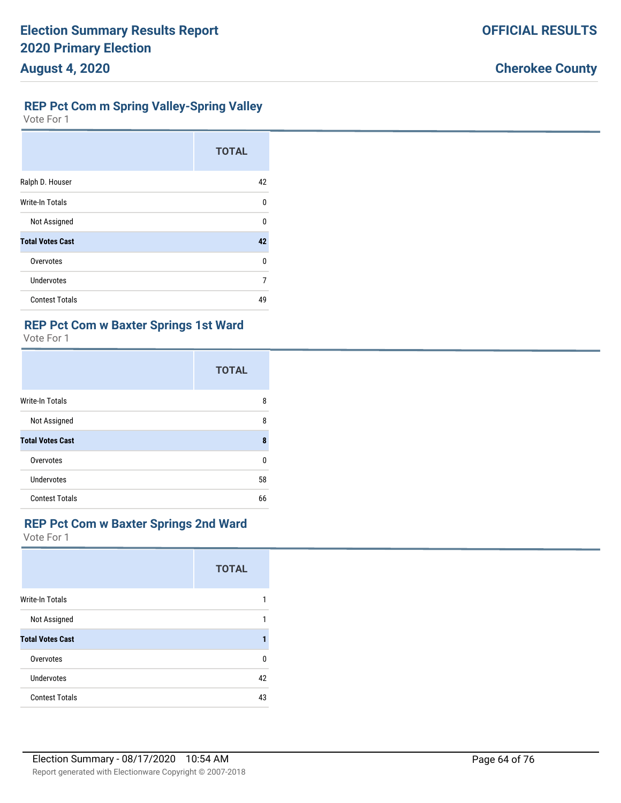### **REP Pct Com m Spring Valley-Spring Valley**

Vote For 1

|                         | <b>TOTAL</b> |
|-------------------------|--------------|
| Ralph D. Houser         | 42           |
| Write-In Totals         | $\Omega$     |
| Not Assigned            | $\Omega$     |
| <b>Total Votes Cast</b> | 42           |
| Overvotes               | U            |
| <b>Undervotes</b>       | 7            |
| <b>Contest Totals</b>   | 49           |

### **REP Pct Com w Baxter Springs 1st Ward**

Vote For 1

|                         | <b>TOTAL</b> |
|-------------------------|--------------|
| <b>Write-In Totals</b>  | 8            |
| Not Assigned            | 8            |
| <b>Total Votes Cast</b> | 8            |
| Overvotes               | U            |
| Undervotes              | 58           |
| <b>Contest Totals</b>   | 66           |

#### **REP Pct Com w Baxter Springs 2nd Ward**

|                         | <b>TOTAL</b> |
|-------------------------|--------------|
| <b>Write-In Totals</b>  |              |
| Not Assigned            |              |
| <b>Total Votes Cast</b> |              |
| Overvotes               | <sup>0</sup> |
| Undervotes              | 42           |
| <b>Contest Totals</b>   | 43           |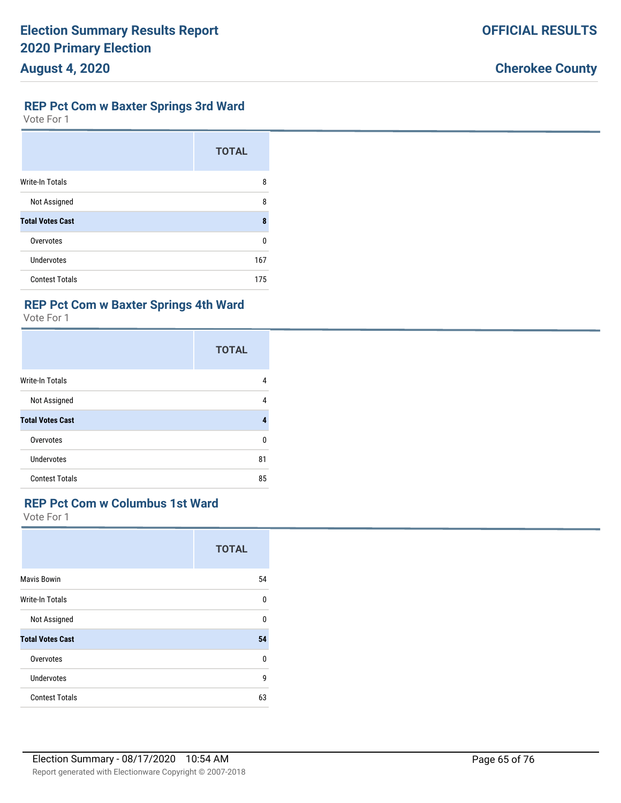### **REP Pct Com w Baxter Springs 3rd Ward**

Vote For 1

|                         | <b>TOTAL</b> |
|-------------------------|--------------|
| <b>Write-In Totals</b>  | 8            |
| Not Assigned            | 8            |
| <b>Total Votes Cast</b> | 8            |
| Overvotes               | U            |
| Undervotes              | 167          |
| <b>Contest Totals</b>   | 175          |

#### **REP Pct Com w Baxter Springs 4th Ward**

Vote For 1

|                         | <b>TOTAL</b> |
|-------------------------|--------------|
| Write-In Totals         | 4            |
| Not Assigned            | 4            |
| <b>Total Votes Cast</b> | 4            |
| Overvotes               | U            |
| <b>Undervotes</b>       | 81           |
| <b>Contest Totals</b>   | 85           |

### **REP Pct Com w Columbus 1st Ward**

|                         | <b>TOTAL</b> |
|-------------------------|--------------|
| <b>Mavis Bowin</b>      | 54           |
| Write-In Totals         | 0            |
| Not Assigned            | $\Omega$     |
| <b>Total Votes Cast</b> | 54           |
| Overvotes               | 0            |
| <b>Undervotes</b>       | 9            |
| <b>Contest Totals</b>   | 63           |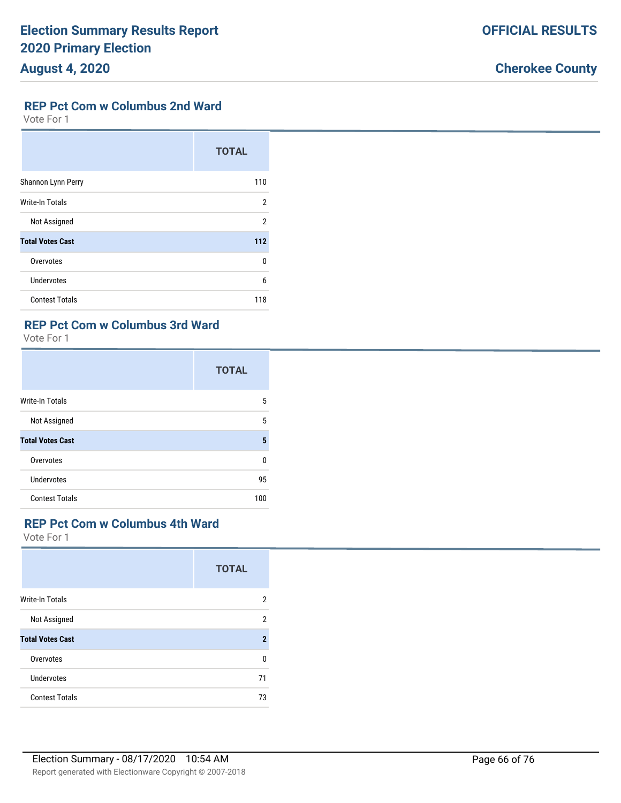### **REP Pct Com w Columbus 2nd Ward**

Vote For 1

|                         | <b>TOTAL</b> |
|-------------------------|--------------|
| Shannon Lynn Perry      | 110          |
| Write-In Totals         | 2            |
| Not Assigned            | 2            |
| <b>Total Votes Cast</b> | 112          |
| Overvotes               | $\Omega$     |
| <b>Undervotes</b>       | 6            |
| <b>Contest Totals</b>   | 118          |

## **REP Pct Com w Columbus 3rd Ward**

Vote For 1

|                         | <b>TOTAL</b> |
|-------------------------|--------------|
| <b>Write-In Totals</b>  | 5            |
| Not Assigned            | 5            |
| <b>Total Votes Cast</b> | 5            |
| Overvotes               | 0            |
| Undervotes              | 95           |
| <b>Contest Totals</b>   | 100          |

#### **REP Pct Com w Columbus 4th Ward**

|                         | <b>TOTAL</b>   |
|-------------------------|----------------|
| <b>Write-In Totals</b>  | 2              |
| Not Assigned            | $\overline{2}$ |
| <b>Total Votes Cast</b> | $\mathbf 2$    |
| Overvotes               | <sup>0</sup>   |
| Undervotes              | 71             |
| <b>Contest Totals</b>   | 73             |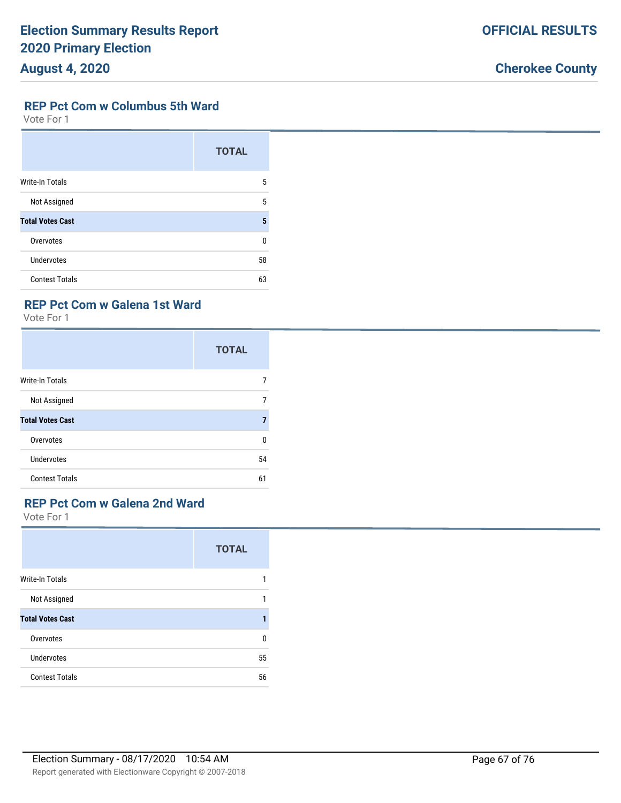|  |  | <b>Cherokee County</b> |
|--|--|------------------------|
|--|--|------------------------|

**OFFICIAL RESULTS**

#### **REP Pct Com w Columbus 5th Ward**

Vote For 1

|                         | <b>TOTAL</b> |
|-------------------------|--------------|
| <b>Write-In Totals</b>  | 5            |
| Not Assigned            | 5            |
| <b>Total Votes Cast</b> | 5            |
| Overvotes               | U            |
| Undervotes              | 58           |
| <b>Contest Totals</b>   | 63           |

#### **REP Pct Com w Galena 1st Ward**

Vote For 1

|                         | <b>TOTAL</b> |
|-------------------------|--------------|
| Write-In Totals         |              |
| Not Assigned            | 7            |
| <b>Total Votes Cast</b> |              |
| Overvotes               | n            |
| Undervotes              | 54           |
| <b>Contest Totals</b>   | 61           |

## **REP Pct Com w Galena 2nd Ward**

|                         | <b>TOTAL</b> |
|-------------------------|--------------|
| Write-In Totals         | 1            |
| Not Assigned            | 1            |
| <b>Total Votes Cast</b> | 1            |
| Overvotes               | 0            |
| <b>Undervotes</b>       | 55           |
| <b>Contest Totals</b>   | 56           |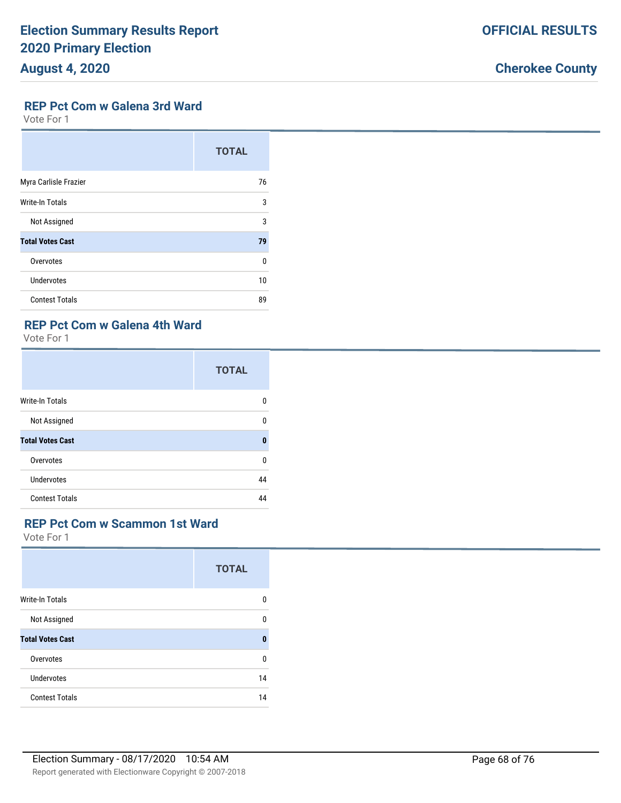#### **REP Pct Com w Galena 3rd Ward**

Vote For 1

|                         | <b>TOTAL</b> |
|-------------------------|--------------|
| Myra Carlisle Frazier   | 76           |
| <b>Write-In Totals</b>  | 3            |
| Not Assigned            | 3            |
| <b>Total Votes Cast</b> | 79           |
| Overvotes               | n            |
| Undervotes              | 10           |
| <b>Contest Totals</b>   | 89           |

### **REP Pct Com w Galena 4th Ward**

Vote For 1

|                         | <b>TOTAL</b> |
|-------------------------|--------------|
| <b>Write-In Totals</b>  | 0            |
| Not Assigned            | 0            |
| <b>Total Votes Cast</b> | 0            |
| Overvotes               | 0            |
| Undervotes              | 44           |
| <b>Contest Totals</b>   | 44           |

#### **REP Pct Com w Scammon 1st Ward**

|                         | <b>TOTAL</b> |
|-------------------------|--------------|
| <b>Write-In Totals</b>  | 0            |
| Not Assigned            | <sup>0</sup> |
| <b>Total Votes Cast</b> | 0            |
| Overvotes               | 0            |
| Undervotes              | 14           |
| <b>Contest Totals</b>   | 14           |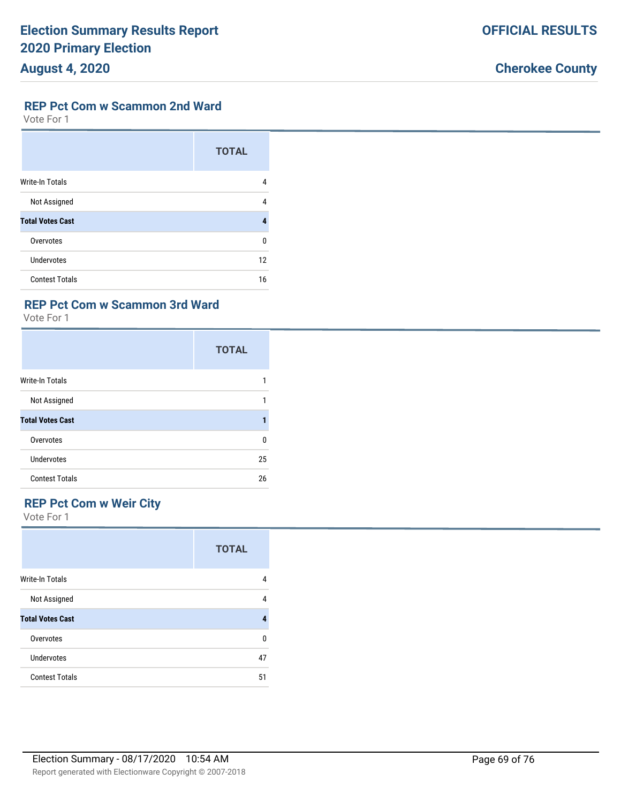#### **REP Pct Com w Scammon 2nd Ward**

Vote For 1

|                         | <b>TOTAL</b> |
|-------------------------|--------------|
| <b>Write-In Totals</b>  | 4            |
| Not Assigned            | 4            |
| <b>Total Votes Cast</b> |              |
| Overvotes               | n            |
| Undervotes              | 12           |
| <b>Contest Totals</b>   | 16           |

### **REP Pct Com w Scammon 3rd Ward**

Vote For 1

|                         | <b>TOTAL</b> |
|-------------------------|--------------|
| Write-In Totals         |              |
| Not Assigned            | 1            |
| <b>Total Votes Cast</b> |              |
| Overvotes               | $\Omega$     |
| Undervotes              | 25           |
| <b>Contest Totals</b>   | 26           |

## **REP Pct Com w Weir City**

|                         | <b>TOTAL</b> |
|-------------------------|--------------|
| Write-In Totals         | 4            |
| Not Assigned            | 4            |
| <b>Total Votes Cast</b> | 4            |
| Overvotes               | 0            |
| Undervotes              | 47           |
| <b>Contest Totals</b>   | 51           |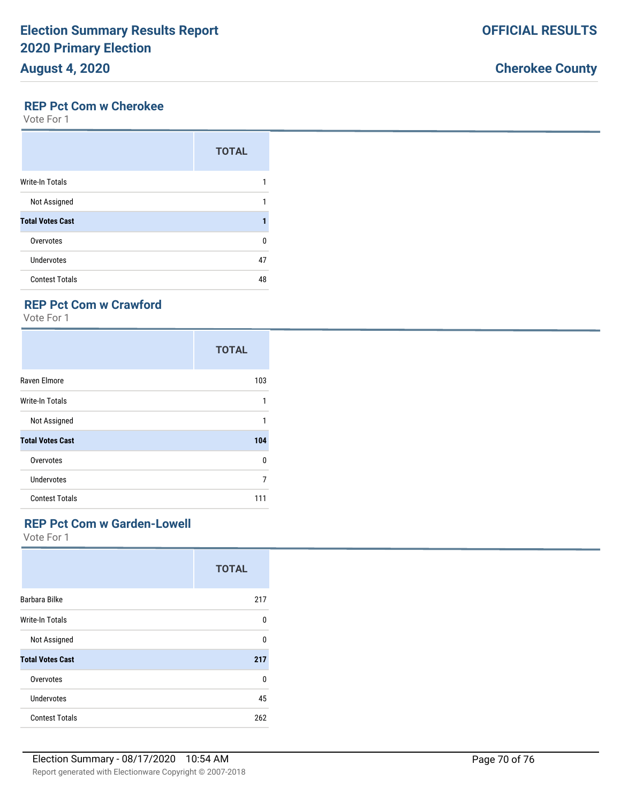#### **REP Pct Com w Cherokee**

Vote For 1

|                         | <b>TOTAL</b> |
|-------------------------|--------------|
| <b>Write-In Totals</b>  |              |
| Not Assigned            |              |
| <b>Total Votes Cast</b> |              |
| Overvotes               | U            |
| <b>Undervotes</b>       | 47           |
| <b>Contest Totals</b>   | 48           |

### **REP Pct Com w Crawford**

Vote For 1

|                         | <b>TOTAL</b> |
|-------------------------|--------------|
| Raven Elmore            | 103          |
| <b>Write-In Totals</b>  | 1            |
| Not Assigned            | 1            |
| <b>Total Votes Cast</b> | 104          |
| Overvotes               | 0            |
| Undervotes              | 7            |
| <b>Contest Totals</b>   | 111          |

#### **REP Pct Com w Garden-Lowell**

|                         | <b>TOTAL</b> |
|-------------------------|--------------|
| Barbara Bilke           | 217          |
| <b>Write-In Totals</b>  | U            |
| Not Assigned            | 0            |
| <b>Total Votes Cast</b> | 217          |
| Overvotes               | $\Omega$     |
| <b>Undervotes</b>       | 45           |
| <b>Contest Totals</b>   | 262          |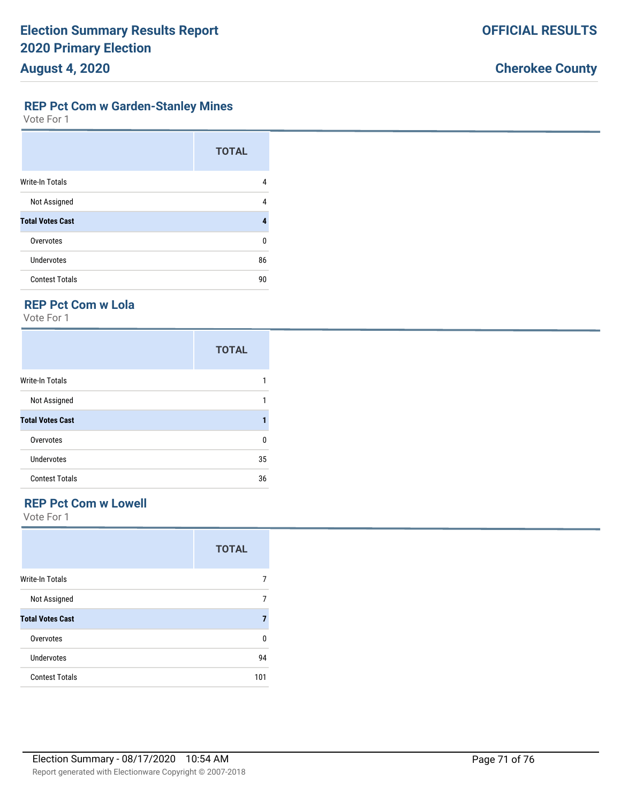**REP Pct Com w Garden-Stanley Mines**

Vote For 1

|                         | <b>TOTAL</b> |
|-------------------------|--------------|
| <b>Write-In Totals</b>  | 4            |
| Not Assigned            | 4            |
| <b>Total Votes Cast</b> | 4            |
| Overvotes               | U            |
| <b>Undervotes</b>       | 86           |
| <b>Contest Totals</b>   | 90           |

### **REP Pct Com w Lola**

Vote For 1

|                         | <b>TOTAL</b> |
|-------------------------|--------------|
| Write-In Totals         |              |
| Not Assigned            |              |
| <b>Total Votes Cast</b> |              |
| Overvotes               | n            |
| Undervotes              | 35           |
| <b>Contest Totals</b>   | 36           |

## **REP Pct Com w Lowell**

Vote For 1

|                         | <b>TOTAL</b> |
|-------------------------|--------------|
| Write-In Totals         | 7            |
| Not Assigned            | 7            |
| <b>Total Votes Cast</b> | 7            |
| Overvotes               | 0            |
| <b>Undervotes</b>       | 94           |
| <b>Contest Totals</b>   | 101          |

Report generated with Electionware Copyright © 2007-2018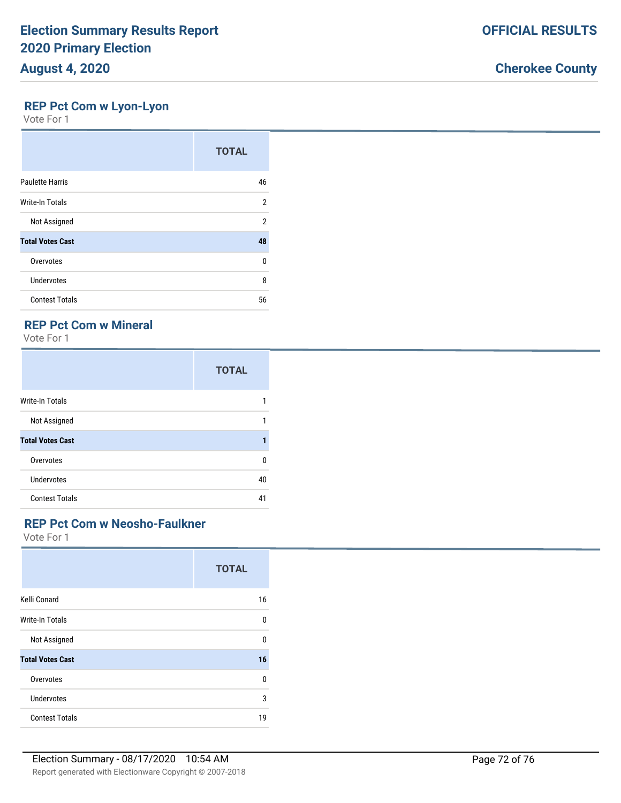### **REP Pct Com w Lyon-Lyon**

Vote For 1

|                         | <b>TOTAL</b> |
|-------------------------|--------------|
| <b>Paulette Harris</b>  | 46           |
| <b>Write-In Totals</b>  | 2            |
| Not Assigned            | 2            |
| <b>Total Votes Cast</b> | 48           |
| Overvotes               | U            |
| Undervotes              | 8            |
| <b>Contest Totals</b>   | 56           |

## **REP Pct Com w Mineral**

Vote For 1

|                         | <b>TOTAL</b> |
|-------------------------|--------------|
| <b>Write-In Totals</b>  | 1            |
| Not Assigned            | 1            |
| <b>Total Votes Cast</b> |              |
| Overvotes               | 0            |
| Undervotes              | 40           |
| <b>Contest Totals</b>   | 41           |

### **REP Pct Com w Neosho-Faulkner**

|                         | <b>TOTAL</b> |
|-------------------------|--------------|
| Kelli Conard            | 16           |
| Write-In Totals         | 0            |
| Not Assigned            | 0            |
| <b>Total Votes Cast</b> | 16           |
| Overvotes               | 0            |
| Undervotes              | 3            |
| <b>Contest Totals</b>   | 19           |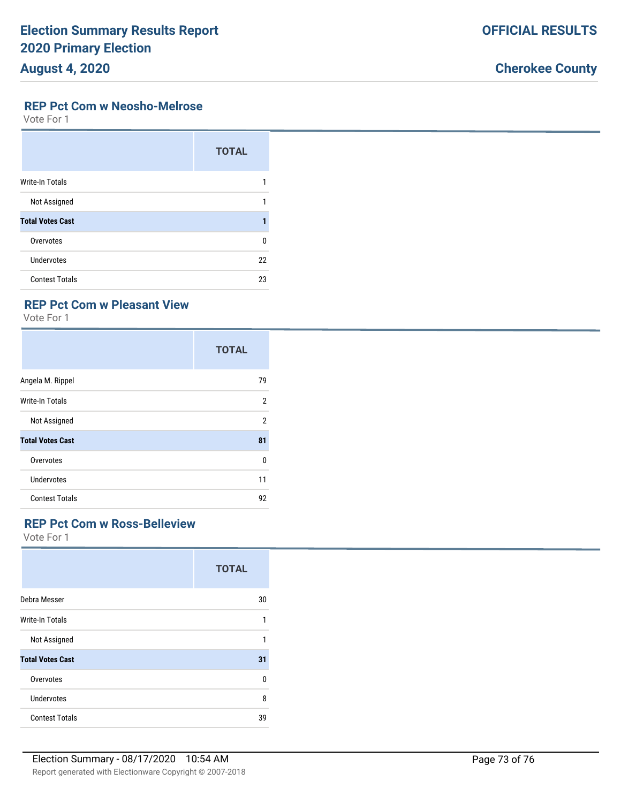# **August 4, 2020**

## **Cherokee County**

#### **REP Pct Com w Neosho-Melrose**

Vote For 1

|                         | <b>TOTAL</b> |
|-------------------------|--------------|
| <b>Write-In Totals</b>  |              |
| Not Assigned            |              |
| <b>Total Votes Cast</b> |              |
| Overvotes               | 0            |
| Undervotes              | 22           |
| <b>Contest Totals</b>   | 23           |

## **REP Pct Com w Pleasant View**

Vote For 1

|                         | <b>TOTAL</b>   |
|-------------------------|----------------|
| Angela M. Rippel        | 79             |
| Write-In Totals         | $\overline{2}$ |
| Not Assigned            | 2              |
| <b>Total Votes Cast</b> | 81             |
| Overvotes               | 0              |
| <b>Undervotes</b>       | 11             |
| <b>Contest Totals</b>   | 92             |

#### **REP Pct Com w Ross-Belleview**

|                         | <b>TOTAL</b> |
|-------------------------|--------------|
| Debra Messer            | 30           |
| Write-In Totals         | 1            |
| Not Assigned            | 1            |
| <b>Total Votes Cast</b> | 31           |
| Overvotes               | 0            |
| <b>Undervotes</b>       | 8            |
| <b>Contest Totals</b>   | 39           |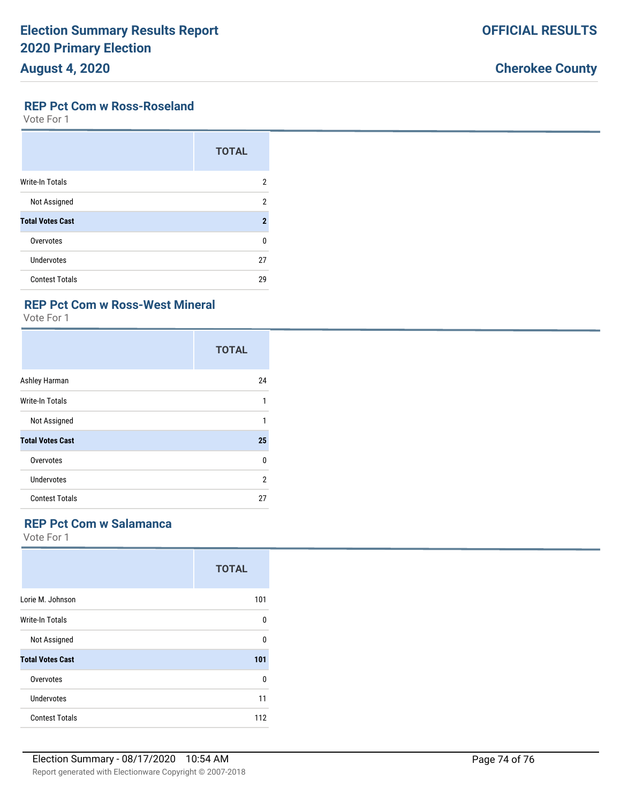## **Cherokee County**

#### **REP Pct Com w Ross-Roseland**

Vote For 1

|                         | <b>TOTAL</b>        |
|-------------------------|---------------------|
| <b>Write-In Totals</b>  | 2                   |
| Not Assigned            | 2                   |
| <b>Total Votes Cast</b> | $\boldsymbol{\eta}$ |
| Overvotes               | $\Omega$            |
| Undervotes              | 27                  |
| <b>Contest Totals</b>   | 29                  |

### **REP Pct Com w Ross-West Mineral**

Vote For 1

|                         | <b>TOTAL</b>   |
|-------------------------|----------------|
| Ashley Harman           | 24             |
| Write-In Totals         | 1              |
| Not Assigned            | 1              |
| <b>Total Votes Cast</b> | 25             |
| Overvotes               | 0              |
| <b>Undervotes</b>       | $\overline{2}$ |
| <b>Contest Totals</b>   | 27             |

### **REP Pct Com w Salamanca**

|                         | <b>TOTAL</b> |
|-------------------------|--------------|
| Lorie M. Johnson        | 101          |
| Write-In Totals         | U            |
| Not Assigned            | n            |
| <b>Total Votes Cast</b> | 101          |
| Overvotes               | 0            |
| Undervotes              | 11           |
| <b>Contest Totals</b>   | 112          |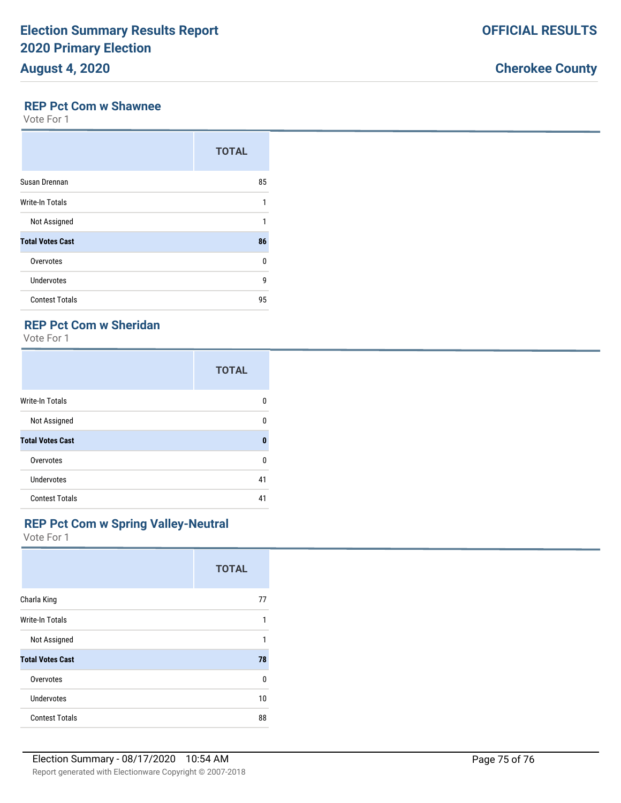**OFFICIAL RESULTS**

#### **REP Pct Com w Shawnee**

Vote For 1

|                         | <b>TOTAL</b> |
|-------------------------|--------------|
| Susan Drennan           | 85           |
| <b>Write-In Totals</b>  | 1            |
| Not Assigned            | 1            |
| <b>Total Votes Cast</b> | 86           |
| Overvotes               | $\Omega$     |
| Undervotes              | 9            |
| <b>Contest Totals</b>   | 95           |

## **REP Pct Com w Sheridan**

Vote For 1

|                         | <b>TOTAL</b> |
|-------------------------|--------------|
| <b>Write-In Totals</b>  | n            |
| Not Assigned            | U            |
| <b>Total Votes Cast</b> | $\mathbf{0}$ |
| Overvotes               | 0            |
| Undervotes              | 41           |
| <b>Contest Totals</b>   | 41           |

### **REP Pct Com w Spring Valley-Neutral**

|                         | <b>TOTAL</b> |
|-------------------------|--------------|
| Charla King             | 77           |
| Write-In Totals         | 1            |
| Not Assigned            | 1            |
| <b>Total Votes Cast</b> | 78           |
| Overvotes               | 0            |
| Undervotes              | 10           |
| <b>Contest Totals</b>   | 88           |